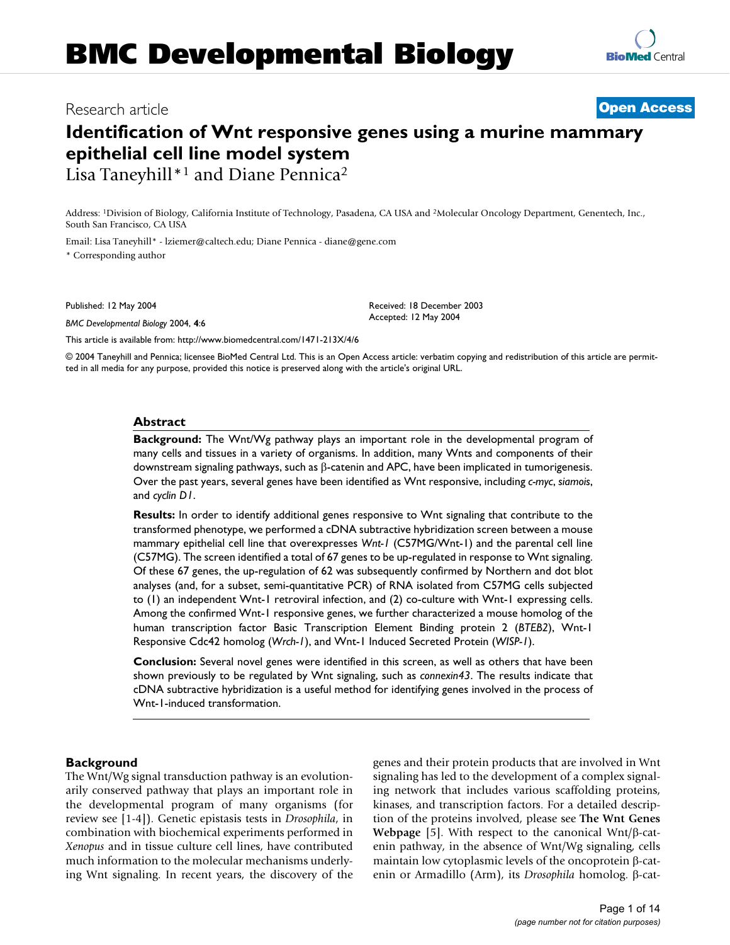# **Identification of Wnt responsive genes using a murine mammary epithelial cell line model system** Lisa Taneyhill\*1 and Diane Pennica2

Address: 1Division of Biology, California Institute of Technology, Pasadena, CA USA and 2Molecular Oncology Department, Genentech, Inc., South San Francisco, CA USA

Email: Lisa Taneyhill\* - lziemer@caltech.edu; Diane Pennica - diane@gene.com \* Corresponding author

Published: 12 May 2004

*BMC Developmental Biology* 2004, **4**:6

Received: 18 December 2003 Accepted: 12 May 2004

[This article is available from: http://www.biomedcentral.com/1471-213X/4/6](http://www.biomedcentral.com/1471-213X/4/6)

© 2004 Taneyhill and Pennica; licensee BioMed Central Ltd. This is an Open Access article: verbatim copying and redistribution of this article are permitted in all media for any purpose, provided this notice is preserved along with the article's original URL.

### **Abstract**

**Background:** The Wnt/Wg pathway plays an important role in the developmental program of many cells and tissues in a variety of organisms. In addition, many Wnts and components of their downstream signaling pathways, such as β-catenin and APC, have been implicated in tumorigenesis. Over the past years, several genes have been identified as Wnt responsive, including *c-myc*, *siamois*, and *cyclin D1*.

**Results:** In order to identify additional genes responsive to Wnt signaling that contribute to the transformed phenotype, we performed a cDNA subtractive hybridization screen between a mouse mammary epithelial cell line that overexpresses *Wnt-1* (C57MG/Wnt-1) and the parental cell line (C57MG). The screen identified a total of 67 genes to be up-regulated in response to Wnt signaling. Of these 67 genes, the up-regulation of 62 was subsequently confirmed by Northern and dot blot analyses (and, for a subset, semi-quantitative PCR) of RNA isolated from C57MG cells subjected to (1) an independent Wnt-1 retroviral infection, and (2) co-culture with Wnt-1 expressing cells. Among the confirmed Wnt-1 responsive genes, we further characterized a mouse homolog of the human transcription factor Basic Transcription Element Binding protein 2 (*BTEB2*), Wnt-1 Responsive Cdc42 homolog (*Wrch-1*), and Wnt-1 Induced Secreted Protein (*WISP-1*).

**Conclusion:** Several novel genes were identified in this screen, as well as others that have been shown previously to be regulated by Wnt signaling, such as *connexin43*. The results indicate that cDNA subtractive hybridization is a useful method for identifying genes involved in the process of Wnt-1-induced transformation.

### **Background**

The Wnt/Wg signal transduction pathway is an evolutionarily conserved pathway that plays an important role in the developmental program of many organisms (for review see [1-4]). Genetic epistasis tests in *Drosophila*, in combination with biochemical experiments performed in *Xenopus* and in tissue culture cell lines, have contributed much information to the molecular mechanisms underlying Wnt signaling. In recent years, the discovery of the genes and their protein products that are involved in Wnt signaling has led to the development of a complex signaling network that includes various scaffolding proteins, kinases, and transcription factors. For a detailed description of the proteins involved, please see **The Wnt Genes Webpage** [5]. With respect to the canonical Wnt/β-catenin pathway, in the absence of Wnt/Wg signaling, cells maintain low cytoplasmic levels of the oncoprotein β-catenin or Armadillo (Arm), its *Drosophila* homolog. β-cat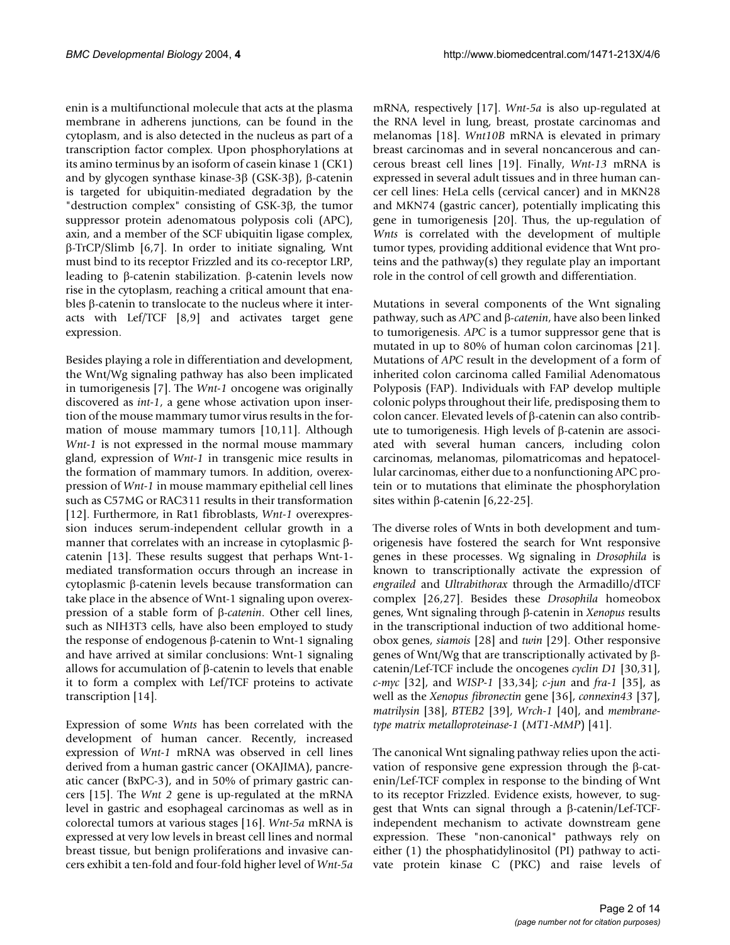enin is a multifunctional molecule that acts at the plasma membrane in adherens junctions, can be found in the cytoplasm, and is also detected in the nucleus as part of a transcription factor complex. Upon phosphorylations at its amino terminus by an isoform of casein kinase 1 (CK1) and by glycogen synthase kinase-3β (GSK-3β), β-catenin is targeted for ubiquitin-mediated degradation by the "destruction complex" consisting of GSK-3β, the tumor suppressor protein adenomatous polyposis coli (APC), axin, and a member of the SCF ubiquitin ligase complex, β-TrCP/Slimb [[6](#page-12-0),7]. In order to initiate signaling, Wnt must bind to its receptor Frizzled and its co-receptor LRP, leading to β-catenin stabilization. β-catenin levels now rise in the cytoplasm, reaching a critical amount that enables β-catenin to translocate to the nucleus where it interacts with Lef/TCF [8,9] and activates target gene expression.

Besides playing a role in differentiation and development, the Wnt/Wg signaling pathway has also been implicated in tumorigenesis [7]. The *Wnt-1* oncogene was originally discovered as *int-1*, a gene whose activation upon insertion of the mouse mammary tumor virus results in the formation of mouse mammary tumors [10[,11](#page-12-1)]. Although *Wnt-1* is not expressed in the normal mouse mammary gland, expression of *Wnt-1* in transgenic mice results in the formation of mammary tumors. In addition, overexpression of *Wnt-1* in mouse mammary epithelial cell lines such as C57MG or RAC311 results in their transformation [12]. Furthermore, in Rat1 fibroblasts, *Wnt-1* overexpression induces serum-independent cellular growth in a manner that correlates with an increase in cytoplasmic βcatenin [13]. These results suggest that perhaps Wnt-1 mediated transformation occurs through an increase in cytoplasmic β-catenin levels because transformation can take place in the absence of Wnt-1 signaling upon overexpression of a stable form of β-*catenin*. Other cell lines, such as NIH3T3 cells, have also been employed to study the response of endogenous β-catenin to Wnt-1 signaling and have arrived at similar conclusions: Wnt-1 signaling allows for accumulation of β-catenin to levels that enable it to form a complex with Lef/TCF proteins to activate transcription [14].

Expression of some *Wnts* has been correlated with the development of human cancer. Recently, increased expression of *Wnt-1* mRNA was observed in cell lines derived from a human gastric cancer (OKAJIMA), pancreatic cancer (BxPC-3), and in 50% of primary gastric cancers [15]. The *Wnt 2* gene is up-regulated at the mRNA level in gastric and esophageal carcinomas as well as in colorectal tumors at various stages [[16\]](#page-12-2). *Wnt-5a* mRNA is expressed at very low levels in breast cell lines and normal breast tissue, but benign proliferations and invasive cancers exhibit a ten-fold and four-fold higher level of *Wnt-5a*

mRNA, respectively [\[17](#page-12-3)]. *Wnt-5a* is also up-regulated at the RNA level in lung, breast, prostate carcinomas and melanomas [\[18](#page-12-4)]. *Wnt10B* mRNA is elevated in primary breast carcinomas and in several noncancerous and cancerous breast cell lines [\[19](#page-12-5)]. Finally, *Wnt-13* mRNA is expressed in several adult tissues and in three human cancer cell lines: HeLa cells (cervical cancer) and in MKN28 and MKN74 (gastric cancer), potentially implicating this gene in tumorigenesis [\[20\]](#page-12-6). Thus, the up-regulation of *Wnts* is correlated with the development of multiple tumor types, providing additional evidence that Wnt proteins and the pathway(s) they regulate play an important role in the control of cell growth and differentiation.

Mutations in several components of the Wnt signaling pathway, such as *APC* and β-*catenin*, have also been linked to tumorigenesis. *APC* is a tumor suppressor gene that is mutated in up to 80% of human colon carcinomas [21]. Mutations of *APC* result in the development of a form of inherited colon carcinoma called Familial Adenomatous Polyposis (FAP). Individuals with FAP develop multiple colonic polyps throughout their life, predisposing them to colon cancer. Elevated levels of β-catenin can also contribute to tumorigenesis. High levels of β-catenin are associated with several human cancers, including colon carcinomas, melanomas, pilomatricomas and hepatocellular carcinomas, either due to a nonfunctioning APC protein or to mutations that eliminate the phosphorylation sites within β-catenin  $[6,22-25]$  $[6,22-25]$  $[6,22-25]$ .

The diverse roles of Wnts in both development and tumorigenesis have fostered the search for Wnt responsive genes in these processes. Wg signaling in *Drosophila* is known to transcriptionally activate the expression of *engrailed* and *Ultrabithorax* through the Armadillo/dTCF complex [26,27]. Besides these *Drosophila* homeobox genes, Wnt signaling through β-catenin in *Xenopus* results in the transcriptional induction of two additional homeobox genes, *siamois* [28] and *twin* [[29\]](#page-12-7). Other responsive genes of Wnt/Wg that are transcriptionally activated by βcatenin/Lef-TCF include the oncogenes *cyclin D1* [30,31], *c-myc* [32], and *WISP-1* [33,34]; *c-jun* and *fra-1* [35], as well as the *Xenopus fibronectin* gene [36], *connexin43* [37], *matrilysin* [38], *BTEB2* [39], *Wrch-1* [40], and *membranetype matrix metalloproteinase-1* (*MT1-MMP*) [41].

The canonical Wnt signaling pathway relies upon the activation of responsive gene expression through the β-catenin/Lef-TCF complex in response to the binding of Wnt to its receptor Frizzled. Evidence exists, however, to suggest that Wnts can signal through a β-catenin/Lef-TCFindependent mechanism to activate downstream gene expression. These "non-canonical" pathways rely on either (1) the phosphatidylinositol (PI) pathway to activate protein kinase C (PKC) and raise levels of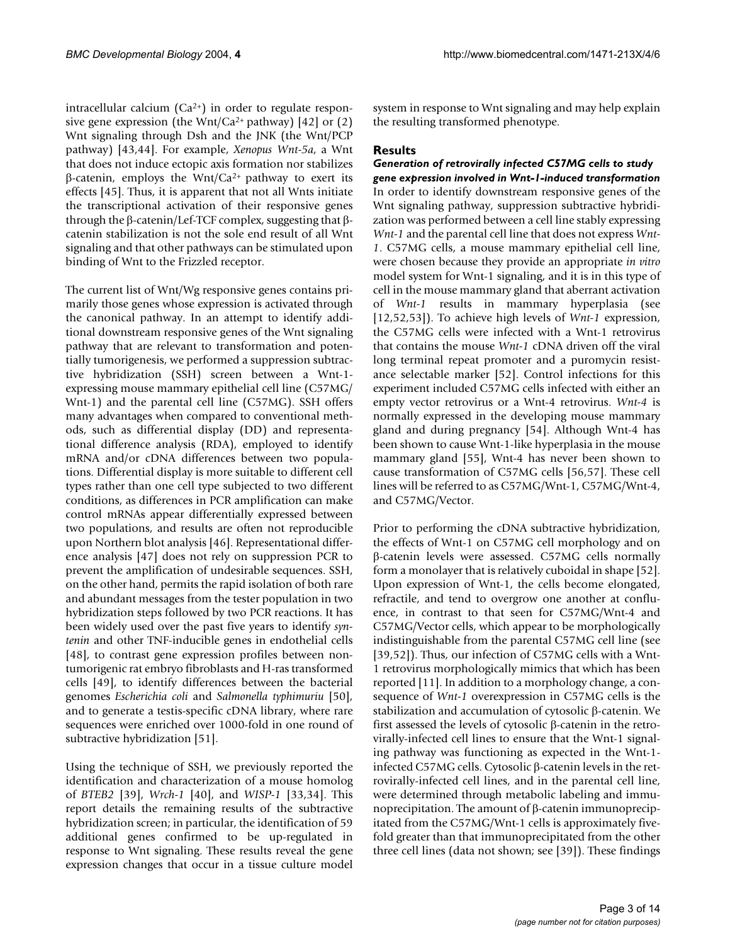intracellular calcium  $(Ca^{2+})$  in order to regulate responsive gene expression (the Wnt/Ca<sup>2+</sup> pathway) [42] or (2) Wnt signaling through Dsh and the JNK (the Wnt/PCP pathway) [43,44]. For example, *Xenopus Wnt-5a*, a Wnt that does not induce ectopic axis formation nor stabilizes β-catenin, employs the Wnt/Ca2+ pathway to exert its effects [[45](#page-12-8)]. Thus, it is apparent that not all Wnts initiate the transcriptional activation of their responsive genes through the β-catenin/Lef-TCF complex, suggesting that βcatenin stabilization is not the sole end result of all Wnt signaling and that other pathways can be stimulated upon binding of Wnt to the Frizzled receptor.

The current list of Wnt/Wg responsive genes contains primarily those genes whose expression is activated through the canonical pathway. In an attempt to identify additional downstream responsive genes of the Wnt signaling pathway that are relevant to transformation and potentially tumorigenesis, we performed a suppression subtractive hybridization (SSH) screen between a Wnt-1 expressing mouse mammary epithelial cell line (C57MG/ Wnt-1) and the parental cell line (C57MG). SSH offers many advantages when compared to conventional methods, such as differential display (DD) and representational difference analysis (RDA), employed to identify mRNA and/or cDNA differences between two populations. Differential display is more suitable to different cell types rather than one cell type subjected to two different conditions, as differences in PCR amplification can make control mRNAs appear differentially expressed between two populations, and results are often not reproducible upon Northern blot analysis [46]. Representational difference analysis [47] does not rely on suppression PCR to prevent the amplification of undesirable sequences. SSH, on the other hand, permits the rapid isolation of both rare and abundant messages from the tester population in two hybridization steps followed by two PCR reactions. It has been widely used over the past five years to identify *syntenin* and other TNF-inducible genes in endothelial cells [48], to contrast gene expression profiles between nontumorigenic rat embryo fibroblasts and H-ras transformed cells [49], to identify differences between the bacterial genomes *Escherichia coli* and *Salmonella typhimuriu* [50], and to generate a testis-specific cDNA library, where rare sequences were enriched over 1000-fold in one round of subtractive hybridization [51].

Using the technique of SSH, we previously reported the identification and characterization of a mouse homolog of *BTEB2* [39], *Wrch-1* [40], and *WISP-1* [33,34]. This report details the remaining results of the subtractive hybridization screen; in particular, the identification of 59 additional genes confirmed to be up-regulated in response to Wnt signaling. These results reveal the gene expression changes that occur in a tissue culture model

system in response to Wnt signaling and may help explain the resulting transformed phenotype.

# **Results**

*Generation of retrovirally infected C57MG cells to study gene expression involved in Wnt-1-induced transformation* In order to identify downstream responsive genes of the Wnt signaling pathway, suppression subtractive hybridization was performed between a cell line stably expressing *Wnt-1* and the parental cell line that does not express *Wnt-1*. C57MG cells, a mouse mammary epithelial cell line, were chosen because they provide an appropriate *in vitro* model system for Wnt-1 signaling, and it is in this type of cell in the mouse mammary gland that aberrant activation of *Wnt-1* results in mammary hyperplasia (see [12,52[,53](#page-13-0)]). To achieve high levels of *Wnt-1* expression, the C57MG cells were infected with a Wnt-1 retrovirus that contains the mouse *Wnt-1* cDNA driven off the viral long terminal repeat promoter and a puromycin resistance selectable marker [52]. Control infections for this experiment included C57MG cells infected with either an empty vector retrovirus or a Wnt-4 retrovirus. *Wnt-4* is normally expressed in the developing mouse mammary gland and during pregnancy [54]. Although Wnt-4 has been shown to cause Wnt-1-like hyperplasia in the mouse mammary gland [55], Wnt-4 has never been shown to cause transformation of C57MG cells [56,57]. These cell lines will be referred to as C57MG/Wnt-1, C57MG/Wnt-4, and C57MG/Vector.

Prior to performing the cDNA subtractive hybridization, the effects of Wnt-1 on C57MG cell morphology and on β-catenin levels were assessed. C57MG cells normally form a monolayer that is relatively cuboidal in shape [52]. Upon expression of Wnt-1, the cells become elongated, refractile, and tend to overgrow one another at confluence, in contrast to that seen for C57MG/Wnt-4 and C57MG/Vector cells, which appear to be morphologically indistinguishable from the parental C57MG cell line (see [39,52]). Thus, our infection of C57MG cells with a Wnt-1 retrovirus morphologically mimics that which has been reported [\[11](#page-12-1)]. In addition to a morphology change, a consequence of *Wnt-1* overexpression in C57MG cells is the stabilization and accumulation of cytosolic β-catenin. We first assessed the levels of cytosolic β-catenin in the retrovirally-infected cell lines to ensure that the Wnt-1 signaling pathway was functioning as expected in the Wnt-1 infected C57MG cells. Cytosolic β-catenin levels in the retrovirally-infected cell lines, and in the parental cell line, were determined through metabolic labeling and immunoprecipitation. The amount of β-catenin immunoprecipitated from the C57MG/Wnt-1 cells is approximately fivefold greater than that immunoprecipitated from the other three cell lines (data not shown; see [39]). These findings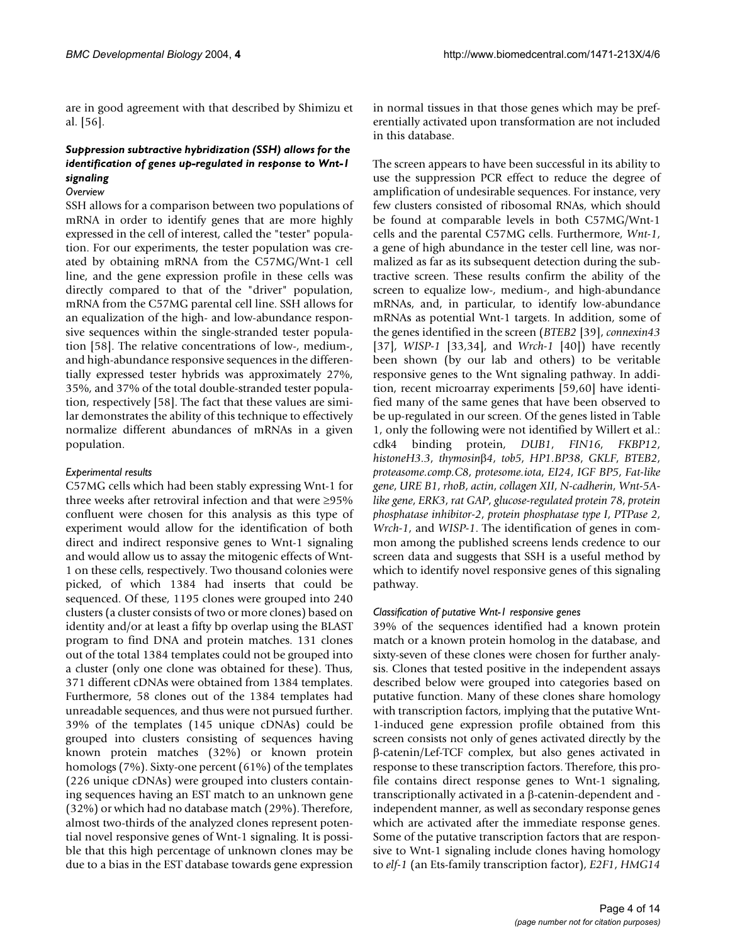are in good agreement with that described by Shimizu et al. [56].

# *Suppression subtractive hybridization (SSH) allows for the identification of genes up-regulated in response to Wnt-1 signaling*

### *Overview*

SSH allows for a comparison between two populations of mRNA in order to identify genes that are more highly expressed in the cell of interest, called the "tester" population. For our experiments, the tester population was created by obtaining mRNA from the C57MG/Wnt-1 cell line, and the gene expression profile in these cells was directly compared to that of the "driver" population, mRNA from the C57MG parental cell line. SSH allows for an equalization of the high- and low-abundance responsive sequences within the single-stranded tester population [58]. The relative concentrations of low-, medium-, and high-abundance responsive sequences in the differentially expressed tester hybrids was approximately 27%, 35%, and 37% of the total double-stranded tester population, respectively [58]. The fact that these values are similar demonstrates the ability of this technique to effectively normalize different abundances of mRNAs in a given population.

### *Experimental results*

C57MG cells which had been stably expressing Wnt-1 for three weeks after retroviral infection and that were ≥95% confluent were chosen for this analysis as this type of experiment would allow for the identification of both direct and indirect responsive genes to Wnt-1 signaling and would allow us to assay the mitogenic effects of Wnt-1 on these cells, respectively. Two thousand colonies were picked, of which 1384 had inserts that could be sequenced. Of these, 1195 clones were grouped into 240 clusters (a cluster consists of two or more clones) based on identity and/or at least a fifty bp overlap using the BLAST program to find DNA and protein matches. 131 clones out of the total 1384 templates could not be grouped into a cluster (only one clone was obtained for these). Thus, 371 different cDNAs were obtained from 1384 templates. Furthermore, 58 clones out of the 1384 templates had unreadable sequences, and thus were not pursued further. 39% of the templates (145 unique cDNAs) could be grouped into clusters consisting of sequences having known protein matches (32%) or known protein homologs (7%). Sixty-one percent (61%) of the templates (226 unique cDNAs) were grouped into clusters containing sequences having an EST match to an unknown gene (32%) or which had no database match (29%). Therefore, almost two-thirds of the analyzed clones represent potential novel responsive genes of Wnt-1 signaling. It is possible that this high percentage of unknown clones may be due to a bias in the EST database towards gene expression in normal tissues in that those genes which may be preferentially activated upon transformation are not included in this database.

The screen appears to have been successful in its ability to use the suppression PCR effect to reduce the degree of amplification of undesirable sequences. For instance, very few clusters consisted of ribosomal RNAs, which should be found at comparable levels in both C57MG/Wnt-1 cells and the parental C57MG cells. Furthermore, *Wnt-1*, a gene of high abundance in the tester cell line, was normalized as far as its subsequent detection during the subtractive screen. These results confirm the ability of the screen to equalize low-, medium-, and high-abundance mRNAs, and, in particular, to identify low-abundance mRNAs as potential Wnt-1 targets. In addition, some of the genes identified in the screen (*BTEB2* [39], *connexin43* [37], *WISP-1* [33,34], and *Wrch-1* [40]) have recently been shown (by our lab and others) to be veritable responsive genes to the Wnt signaling pathway. In addition, recent microarray experiments [59,60] have identified many of the same genes that have been observed to be up-regulated in our screen. Of the genes listed in Table [1](#page-4-0), only the following were not identified by Willert et al.: cdk4 binding protein, *DUB1*, *FIN16*, *FKBP12*, *histoneH3.3*, *thymosin*β*4*, *tob5*, *HP1.BP38*, *GKLF*, *BTEB2*, *proteasome.comp.C8*, *protesome.iota*, *EI24*, *IGF BP5*, *Fat-like gene*, *URE B1*, *rhoB*, *actin*, *collagen XII*, *N-cadherin*, *Wnt-5Alike gene*, *ERK3*, *rat GAP*, *glucose-regulated protein 78*, *protein phosphatase inhibitor-2*, *protein phosphatase type I*, *PTPase 2*, *Wrch-1*, and *WISP-1*. The identification of genes in common among the published screens lends credence to our screen data and suggests that SSH is a useful method by which to identify novel responsive genes of this signaling pathway.

# *Classification of putative Wnt-1 responsive genes*

39% of the sequences identified had a known protein match or a known protein homolog in the database, and sixty-seven of these clones were chosen for further analysis. Clones that tested positive in the independent assays described below were grouped into categories based on putative function. Many of these clones share homology with transcription factors, implying that the putative Wnt-1-induced gene expression profile obtained from this screen consists not only of genes activated directly by the β-catenin/Lef-TCF complex, but also genes activated in response to these transcription factors. Therefore, this profile contains direct response genes to Wnt-1 signaling, transcriptionally activated in a β-catenin-dependent and independent manner, as well as secondary response genes which are activated after the immediate response genes. Some of the putative transcription factors that are responsive to Wnt-1 signaling include clones having homology to *elf-1* (an Ets-family transcription factor), *E2F1*, *HMG14*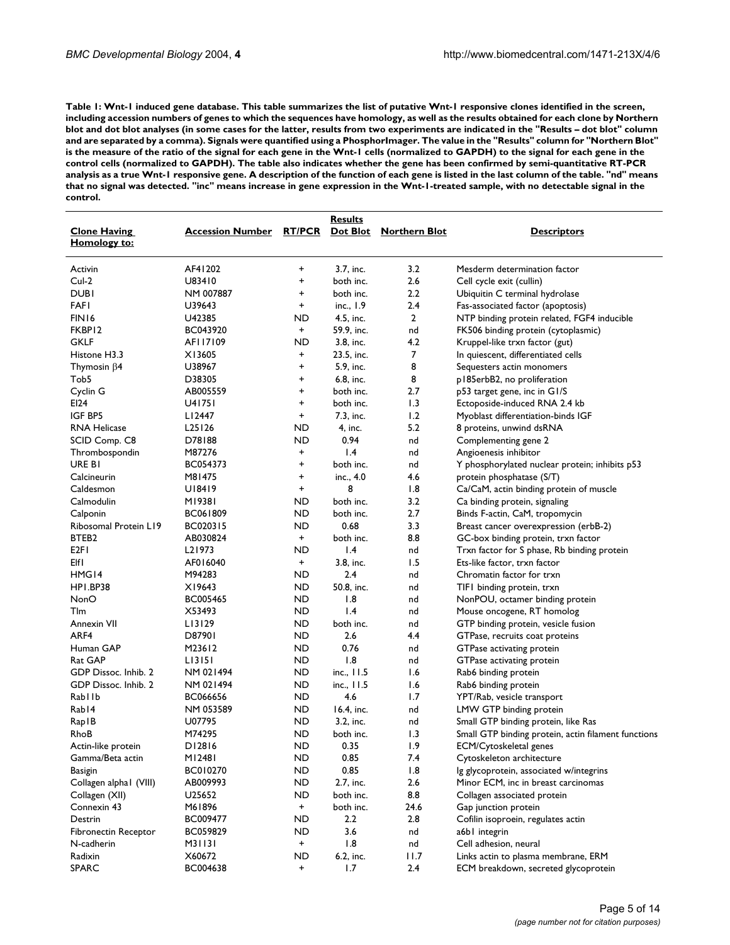<span id="page-4-0"></span>**Table 1: Wnt-1 induced gene database. This table summarizes the list of putative Wnt-1 responsive clones identified in the screen, including accession numbers of genes to which the sequences have homology, as well as the results obtained for each clone by Northern blot and dot blot analyses (in some cases for the latter, results from two experiments are indicated in the "Results – dot blot" column and are separated by a comma). Signals were quantified using a PhosphorImager. The value in the "Results" column for "Northern Blot" is the measure of the ratio of the signal for each gene in the Wnt-1 cells (normalized to GAPDH) to the signal for each gene in the control cells (normalized to GAPDH). The table also indicates whether the gene has been confirmed by semi-quantitative RT-PCR analysis as a true Wnt-1 responsive gene. A description of the function of each gene is listed in the last column of the table. "nd" means that no signal was detected. "inc" means increase in gene expression in the Wnt-1-treated sample, with no detectable signal in the control.**

|                                     |                                                | <b>Results</b> |                 |                |                                                     |
|-------------------------------------|------------------------------------------------|----------------|-----------------|----------------|-----------------------------------------------------|
| <b>Clone Having</b><br>Homology to: | Accession Number RT/PCR Dot Blot Northern Blot |                |                 |                | <b>Descriptors</b>                                  |
| Activin                             | AF41202                                        | +              | 3.7, inc.       | 3.2            | Mesderm determination factor                        |
| $Cul-2$                             | U83410                                         | +              | both inc.       | 2.6            | Cell cycle exit (cullin)                            |
| <b>DUBI</b>                         | NM 007887                                      | +              | both inc.       | 2.2            | Ubiquitin C terminal hydrolase                      |
| <b>FAFI</b>                         | U39643                                         | $\ddot{}$      | inc., $1.9$     | 2.4            | Fas-associated factor (apoptosis)                   |
| FIN16                               | U42385                                         | ND             | 4.5, inc.       | $\overline{2}$ | NTP binding protein related, FGF4 inducible         |
| FKBP12                              | BC043920                                       | $\ddot{}$      | 59.9, inc.      | nd             | FK506 binding protein (cytoplasmic)                 |
| <b>GKLF</b>                         | AFI17109                                       | ND             | 3.8, inc.       | 4.2            | Kruppel-like trxn factor (gut)                      |
| Histone H3.3                        | X13605                                         | +              | 23.5, inc.      | 7              | In quiescent, differentiated cells                  |
| Thymosin $\beta$ 4                  | U38967                                         | $\ddot{}$      | 5.9, inc.       | 8              | Sequesters actin monomers                           |
| Tob5                                | D38305                                         | +              | 6.8, inc.       | 8              | p185erbB2, no proliferation                         |
| Cyclin G                            | AB005559                                       | +              | both inc.       | 2.7            | p53 target gene, inc in G1/S                        |
| EI24                                | U41751                                         | $\ddot{}$      | both inc.       | 1.3            | Ectoposide-induced RNA 2.4 kb                       |
| IGF BP5                             | LI 2447                                        | $\ddot{}$      | 7.3, inc.       | 1.2            | Myoblast differentiation-binds IGF                  |
| <b>RNA Helicase</b>                 | L <sub>25</sub> 126                            | ND             | 4, inc.         | 5.2            | 8 proteins, unwind dsRNA                            |
| SCID Comp. C8                       | D78188                                         | ND             | 0.94            | nd             | Complementing gene 2                                |
| Thrombospondin                      | M87276                                         | +              | $\mathsf{I}$ .4 | nd             | Angioenesis inhibitor                               |
| URE BI                              | BC054373                                       | +              | both inc.       | nd             | Y phosphorylated nuclear protein; inhibits p53      |
| Calcineurin                         | M81475                                         | +              | inc., 4.0       | 4.6            | protein phosphatase (S/T)                           |
| Caldesmon                           | U18419                                         | $\ddot{}$      | 8               | 1.8            | Ca/CaM, actin binding protein of muscle             |
| Calmodulin                          | M19381                                         | ND             | both inc.       | 3.2            | Ca binding protein, signaling                       |
| Calponin                            | BC061809                                       | ND             | both inc.       | 2.7            | Binds F-actin, CaM, tropomycin                      |
| Ribosomal Protein L19               | BC020315                                       | ND             | 0.68            | 3.3            | Breast cancer overexpression (erbB-2)               |
| BTEB2                               | AB030824                                       | $\ddot{}$      | both inc.       | 8.8            | GC-box binding protein, trxn factor                 |
| E <sub>2FI</sub>                    | L <sub>2</sub> 1973                            | ND             | 1.4             | nd             | Trxn factor for S phase, Rb binding protein         |
| Elfl                                | AF016040                                       | $+$            | 3.8, inc.       | 1.5            | Ets-like factor, trxn factor                        |
| HMG14                               | M94283                                         | ND             | 2.4             | nd             | Chromatin factor for trxn                           |
| HPI.BP38                            | X19643                                         | ND             | 50.8, inc.      | nd             | TIFI binding protein, trxn                          |
| <b>NonO</b>                         | BC005465                                       | ND             | 1.8             | nd             | NonPOU, octamer binding protein                     |
| <b>T</b> Im                         | X53493                                         | ND.            | 1.4             | nd             | Mouse oncogene, RT homolog                          |
| Annexin VII                         | LI3129                                         | ND.            | both inc.       | nd             | GTP binding protein, vesicle fusion                 |
| ARF4                                | D87901                                         | ND             | 2.6             | 4.4            | GTPase, recruits coat proteins                      |
| Human GAP                           | M23612                                         | ND             | 0.76            | nd             | GTPase activating protein                           |
| Rat GAP                             | LI3151                                         | ND             | 1.8             | nd             | GTPase activating protein                           |
| GDP Dissoc. Inhib. 2                | NM 021494                                      | ND.            | inc., 11.5      | 1.6            | Rab6 binding protein                                |
| GDP Dissoc. Inhib. 2                | NM 021494                                      | ND             | inc., 11.5      | 1.6            | Rab6 binding protein                                |
| Rab I Ib                            | BC066656                                       | ND             | 4.6             | 1.7            | YPT/Rab, vesicle transport                          |
| Rab <sub>14</sub>                   | NM 053589                                      | ND             | 16.4, inc.      | nd             | LMW GTP binding protein                             |
| RapIB                               | U07795                                         | <b>ND</b>      | 3.2, inc.       | nd             | Small GTP binding protein, like Ras                 |
| RhoB                                | M74295                                         | <b>ND</b>      | both inc.       | 1.3            | Small GTP binding protein, actin filament functions |
| Actin-like protein                  | D12816                                         | ND             | 0.35            | 1.9            | ECM/Cytoskeletal genes                              |
| Gamma/Beta actin                    | MI 248 I                                       | ND             | 0.85            | 7.4            | Cytoskeleton architecture                           |
| Basigin                             | BC010270                                       | ND.            | 0.85            | 1.8            | Ig glycoprotein, associated w/integrins             |
| Collagen alphal (VIII)              | AB009993                                       | ND.            | 2.7, inc.       | 2.6            | Minor ECM, inc in breast carcinomas                 |
| Collagen (XII)                      | U25652                                         | ND             | both inc.       | 8.8            | Collagen associated protein                         |
| Connexin 43                         | M61896                                         | $+$            | both inc.       | 24.6           | Gap junction protein                                |
| Destrin                             | BC009477                                       | ND             | 2.2             | 2.8            | Cofilin isoproein, regulates actin                  |
| Fibronectin Receptor                | BC059829                                       | ND             | 3.6             | nd             | a6b1 integrin                                       |
| N-cadherin                          | M31131                                         | $+$            | 1.8             | nd             | Cell adhesion, neural                               |
| Radixin                             | X60672                                         | ND.            | 6.2, inc.       | 11.7           | Links actin to plasma membrane, ERM                 |
| <b>SPARC</b>                        | BC004638                                       | $\ddot{}$      | 1.7             | 2.4            | ECM breakdown, secreted glycoprotein                |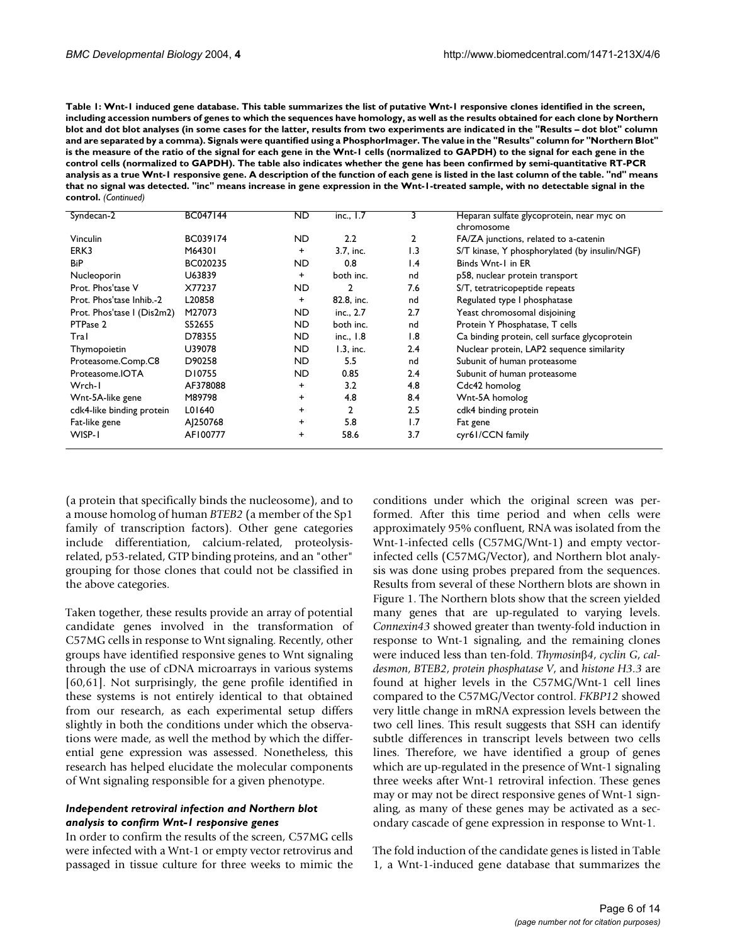**Table 1: Wnt-1 induced gene database. This table summarizes the list of putative Wnt-1 responsive clones identified in the screen, including accession numbers of genes to which the sequences have homology, as well as the results obtained for each clone by Northern blot and dot blot analyses (in some cases for the latter, results from two experiments are indicated in the "Results – dot blot" column and are separated by a comma). Signals were quantified using a PhosphorImager. The value in the "Results" column for "Northern Blot" is the measure of the ratio of the signal for each gene in the Wnt-1 cells (normalized to GAPDH) to the signal for each gene in the control cells (normalized to GAPDH). The table also indicates whether the gene has been confirmed by semi-quantitative RT-PCR analysis as a true Wnt-1 responsive gene. A description of the function of each gene is listed in the last column of the table. "nd" means that no signal was detected. "inc" means increase in gene expression in the Wnt-1-treated sample, with no detectable signal in the control.** *(Continued)*

| Syndecan-2                 | BC047144 | ND.       | inc., $1.7$  | 3               | Heparan sulfate glycoprotein, near myc on     |
|----------------------------|----------|-----------|--------------|-----------------|-----------------------------------------------|
|                            |          |           |              |                 | chromosome                                    |
| Vinculin                   | BC039174 | ND.       | 2.2          | 2               | FA/ZA junctions, related to a-catenin         |
| ERK3                       | M64301   | $\ddot{}$ | 3.7. inc.    | 1.3             | S/T kinase, Y phosphorylated (by insulin/NGF) |
| <b>BiP</b>                 | BC020235 | ND.       | 0.8          | $\mathsf{I}$ .4 | Binds Wnt-1 in ER                             |
| Nucleoporin                | U63839   | $\ddot{}$ | both inc.    | nd              | p58, nuclear protein transport                |
| Prot. Phos'tase V          | X77237   | ND.       | $\mathbf{2}$ | 7.6             | S/T, tetratricopeptide repeats                |
| Prot. Phos'tase Inhib.-2   | L20858   | $^{+}$    | 82.8, inc.   | nd              | Regulated type I phosphatase                  |
| Prot. Phos'tase I (Dis2m2) | M27073   | ND        | inc., 2.7    | 2.7             | Yeast chromosomal disjoining                  |
| PTPase 2                   | S52655   | <b>ND</b> | both inc.    | nd              | Protein Y Phosphatase, T cells                |
| Tral                       | D78355   | ND        | inc., 1.8    | 1.8             | Ca binding protein, cell surface glycoprotein |
| Thymopoietin               | U39078   | ND.       | $1.3$ , inc. | 2.4             | Nuclear protein, LAP2 sequence similarity     |
| Proteasome.Comp.C8         | D90258   | ND.       | 5.5          | nd              | Subunit of human proteasome                   |
| Proteasome.IOTA            | D10755   | ND.       | 0.85         | 2.4             | Subunit of human proteasome                   |
| Wrch-I                     | AF378088 | $\ddot{}$ | 3.2          | 4.8             | Cdc42 homolog                                 |
| Wnt-5A-like gene           | M89798   | $\ddot{}$ | 4.8          | 8.4             | Wnt-5A homolog                                |
| cdk4-like binding protein  | L01640   | $\ddot{}$ | 2            | 2.5             | cdk4 binding protein                          |
| Fat-like gene              | AJ250768 | +         | 5.8          | 1.7             | Fat gene                                      |
| WISP-1                     | AF100777 | $\ddot{}$ | 58.6         | 3.7             | cyr61/CCN family                              |
|                            |          |           |              |                 |                                               |

(a protein that specifically binds the nucleosome), and to a mouse homolog of human *BTEB2* (a member of the Sp1 family of transcription factors). Other gene categories include differentiation, calcium-related, proteolysisrelated, p53-related, GTP binding proteins, and an "other" grouping for those clones that could not be classified in the above categories.

Taken together, these results provide an array of potential candidate genes involved in the transformation of C57MG cells in response to Wnt signaling. Recently, other groups have identified responsive genes to Wnt signaling through the use of cDNA microarrays in various systems [60,61]. Not surprisingly, the gene profile identified in these systems is not entirely identical to that obtained from our research, as each experimental setup differs slightly in both the conditions under which the observations were made, as well the method by which the differential gene expression was assessed. Nonetheless, this research has helped elucidate the molecular components of Wnt signaling responsible for a given phenotype.

### *Independent retroviral infection and Northern blot analysis to confirm Wnt-1 responsive genes*

In order to confirm the results of the screen, C57MG cells were infected with a Wnt-1 or empty vector retrovirus and passaged in tissue culture for three weeks to mimic the conditions under which the original screen was performed. After this time period and when cells were approximately 95% confluent, RNA was isolated from the Wnt-1-infected cells (C57MG/Wnt-1) and empty vectorinfected cells (C57MG/Vector), and Northern blot analysis was done using probes prepared from the sequences. Results from several of these Northern blots are shown in Figure 1. The Northern blots show that the screen yielded many genes that are up-regulated to varying levels. *Connexin43* showed greater than twenty-fold induction in response to Wnt-1 signaling, and the remaining clones were induced less than ten-fold. *Thymosin*β*4*, *cyclin G*, *caldesmon*, *BTEB2*, *protein phosphatase V*, and *histone H3.3* are found at higher levels in the C57MG/Wnt-1 cell lines compared to the C57MG/Vector control. *FKBP12* showed very little change in mRNA expression levels between the two cell lines. This result suggests that SSH can identify subtle differences in transcript levels between two cells lines. Therefore, we have identified a group of genes which are up-regulated in the presence of Wnt-1 signaling three weeks after Wnt-1 retroviral infection. These genes may or may not be direct responsive genes of Wnt-1 signaling, as many of these genes may be activated as a secondary cascade of gene expression in response to Wnt-1.

The fold induction of the candidate genes is listed in Table [1](#page-4-0), a Wnt-1-induced gene database that summarizes the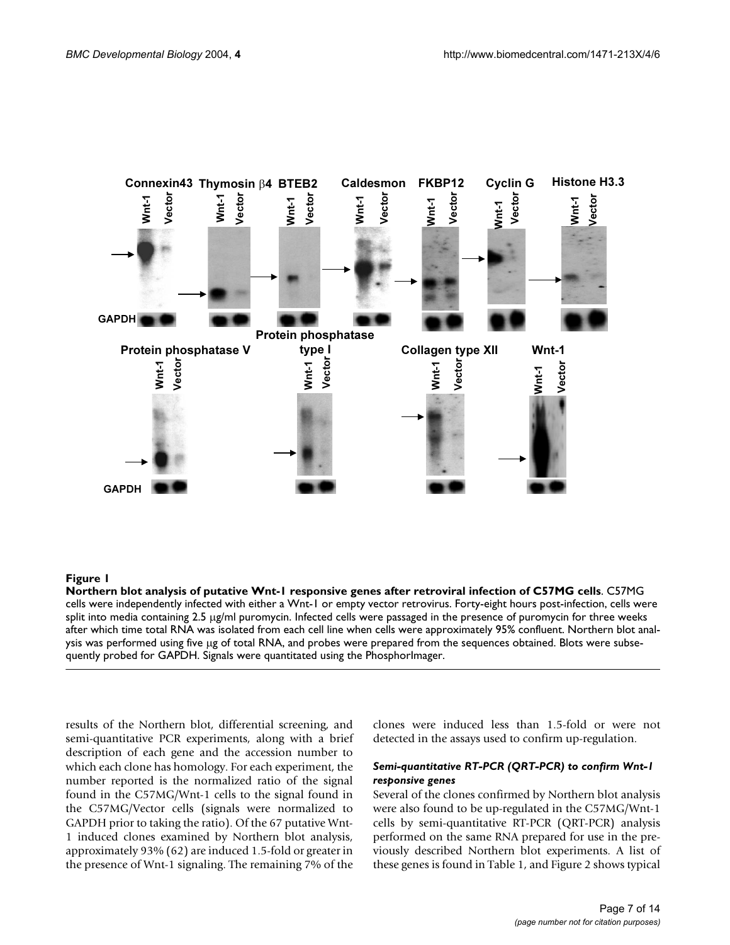

### Northern blot analysis of putative Wnt-1 responsive **Figure 1** genes after retroviral infection of C57MG cells

**Northern blot analysis of putative Wnt-1 responsive genes after retroviral infection of C57MG cells**. C57MG cells were independently infected with either a Wnt-1 or empty vector retrovirus. Forty-eight hours post-infection, cells were split into media containing 2.5 µg/ml puromycin. Infected cells were passaged in the presence of puromycin for three weeks after which time total RNA was isolated from each cell line when cells were approximately 95% confluent. Northern blot analysis was performed using five µg of total RNA, and probes were prepared from the sequences obtained. Blots were subsequently probed for GAPDH. Signals were quantitated using the PhosphorImager.

results of the Northern blot, differential screening, and semi-quantitative PCR experiments, along with a brief description of each gene and the accession number to which each clone has homology. For each experiment, the number reported is the normalized ratio of the signal found in the C57MG/Wnt-1 cells to the signal found in the C57MG/Vector cells (signals were normalized to GAPDH prior to taking the ratio). Of the 67 putative Wnt-1 induced clones examined by Northern blot analysis, approximately 93% (62) are induced 1.5-fold or greater in the presence of Wnt-1 signaling. The remaining 7% of the clones were induced less than 1.5-fold or were not detected in the assays used to confirm up-regulation.

### *Semi-quantitative RT-PCR (QRT-PCR) to confirm Wnt-1 responsive genes*

Several of the clones confirmed by Northern blot analysis were also found to be up-regulated in the C57MG/Wnt-1 cells by semi-quantitative RT-PCR (QRT-PCR) analysis performed on the same RNA prepared for use in the previously described Northern blot experiments. A list of these genes is found in Table [1,](#page-4-0) and Figure [2](#page-7-0) shows typical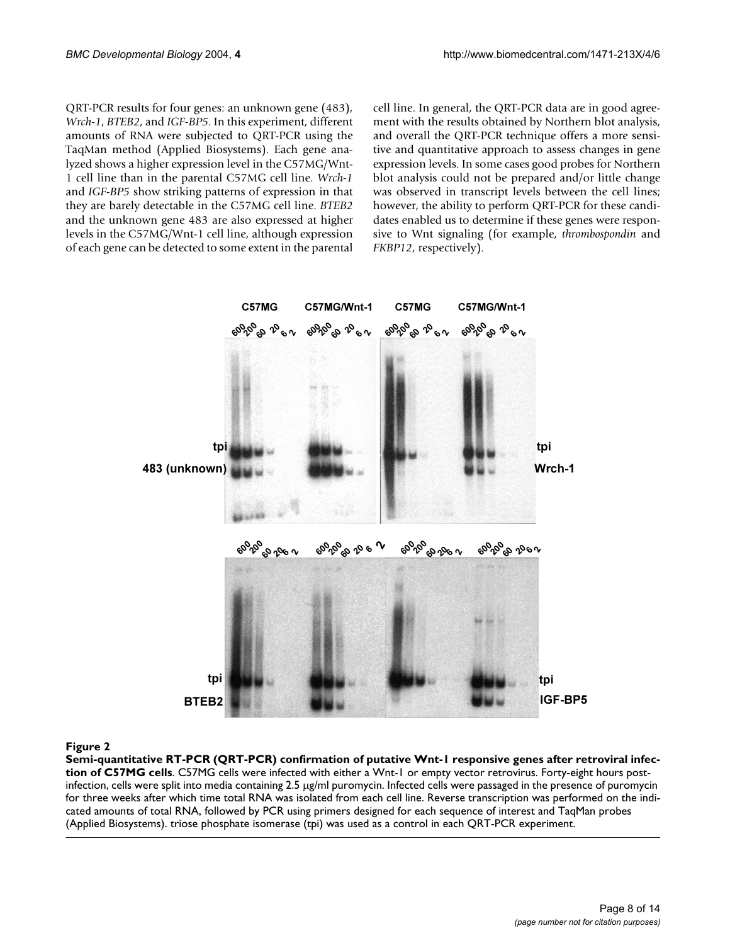QRT-PCR results for four genes: an unknown gene (483), *Wrch-1*, *BTEB2*, and *IGF-BP5*. In this experiment, different amounts of RNA were subjected to QRT-PCR using the TaqMan method (Applied Biosystems). Each gene analyzed shows a higher expression level in the C57MG/Wnt-1 cell line than in the parental C57MG cell line. *Wrch-1* and *IGF-BP5* show striking patterns of expression in that they are barely detectable in the C57MG cell line. *BTEB2* and the unknown gene 483 are also expressed at higher levels in the C57MG/Wnt-1 cell line, although expression of each gene can be detected to some extent in the parental cell line. In general, the QRT-PCR data are in good agreement with the results obtained by Northern blot analysis, and overall the QRT-PCR technique offers a more sensitive and quantitative approach to assess changes in gene expression levels. In some cases good probes for Northern blot analysis could not be prepared and/or little change was observed in transcript levels between the cell lines; however, the ability to perform QRT-PCR for these candidates enabled us to determine if these genes were responsive to Wnt signaling (for example, *thrombospondin* and *FKBP12*, respectively).

<span id="page-7-0"></span>

### Semi-quantitative RT-PCR (QRT-PCR) confirma cells **Figure 2** tion of putative Wnt-1 responsive genes after retroviral infection of C57MG

**Semi-quantitative RT-PCR (QRT-PCR) confirmation of putative Wnt-1 responsive genes after retroviral infection of C57MG cells**. C57MG cells were infected with either a Wnt-1 or empty vector retrovirus. Forty-eight hours postinfection, cells were split into media containing 2.5 µg/ml puromycin. Infected cells were passaged in the presence of puromycin for three weeks after which time total RNA was isolated from each cell line. Reverse transcription was performed on the indicated amounts of total RNA, followed by PCR using primers designed for each sequence of interest and TaqMan probes (Applied Biosystems). triose phosphate isomerase (tpi) was used as a control in each QRT-PCR experiment.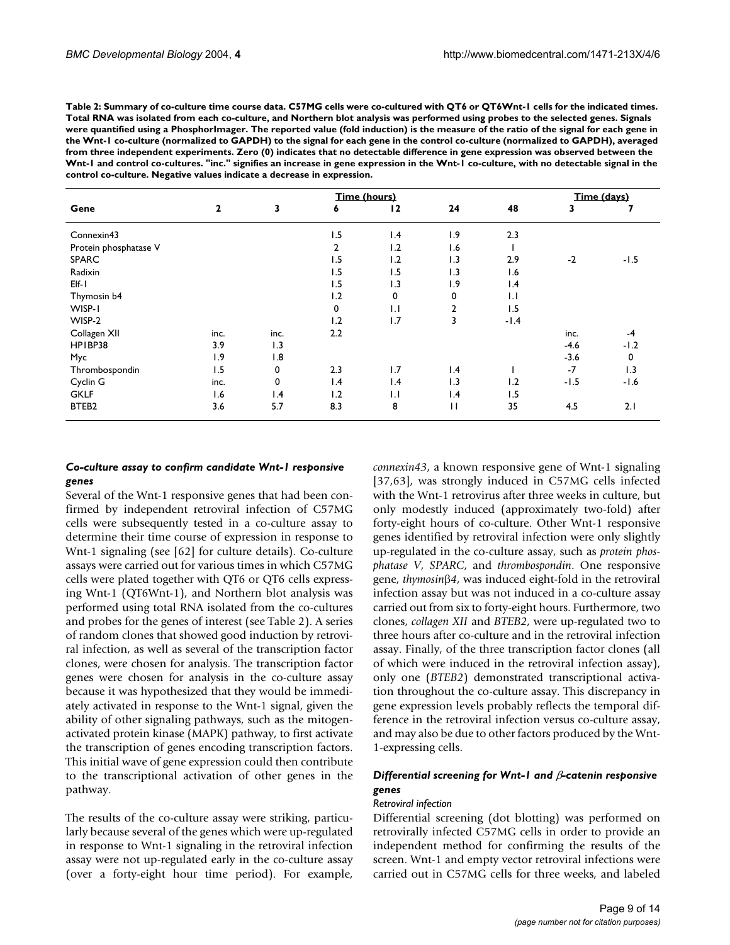<span id="page-8-0"></span>**Table 2: Summary of co-culture time course data. C57MG cells were co-cultured with QT6 or QT6Wnt-1 cells for the indicated times. Total RNA was isolated from each co-culture, and Northern blot analysis was performed using probes to the selected genes. Signals were quantified using a PhosphorImager. The reported value (fold induction) is the measure of the ratio of the signal for each gene in the Wnt-1 co-culture (normalized to GAPDH) to the signal for each gene in the control co-culture (normalized to GAPDH), averaged from three independent experiments. Zero (0) indicates that no detectable difference in gene expression was observed between the Wnt-1 and control co-cultures. "inc." signifies an increase in gene expression in the Wnt-1 co-culture, with no detectable signal in the control co-culture. Negative values indicate a decrease in expression.**

|                       | Time (hours) |                 |                |                 |                |                 |        | Time (days) |  |
|-----------------------|--------------|-----------------|----------------|-----------------|----------------|-----------------|--------|-------------|--|
| Gene                  | $\mathbf{2}$ | 3               | 6              | 12              | 24             | 48              | 3      |             |  |
| Connexin43            |              |                 | 1.5            | 1.4             | 1.9            | 2.3             |        |             |  |
| Protein phosphatase V |              |                 | $\overline{2}$ | 1.2             | 1.6            |                 |        |             |  |
| <b>SPARC</b>          |              |                 | ۱.5            | 1.2             | 1.3            | 2.9             | $-2$   | $-1.5$      |  |
| Radixin               |              |                 | ۱.5            | 1.5             | 1.3            | 1.6             |        |             |  |
| $E[f-1]$              |              |                 | 1.5            | 1.3             | 1.9            | $\mathsf{I}$ .4 |        |             |  |
| Thymosin b4           |              |                 | 1.2            | 0               | 0              | $\mathbf{L}$    |        |             |  |
| WISP-1                |              |                 | 0              | $\mathsf{L}$    | $\overline{2}$ | 1.5             |        |             |  |
| WISP-2                |              |                 | 1.2            | 1.7             | 3              | $-1.4$          |        |             |  |
| Collagen XII          | inc.         | inc.            | 2.2            |                 |                |                 | inc.   | -4          |  |
| HPIBP38               | 3.9          | 1.3             |                |                 |                |                 | $-4.6$ | $-1.2$      |  |
| Myc                   | 1.9          | 1.8             |                |                 |                |                 | $-3.6$ | 0           |  |
| Thrombospondin        | 1.5          | 0               | 2.3            | 1.7             | 1.4            |                 | $-7$   | 1.3         |  |
| Cyclin G              | inc.         | 0               | 1.4            | $\mathsf{I}$ .4 | 1.3            | 1.2             | $-1.5$ | $-1.6$      |  |
| <b>GKLF</b>           | 1.6          | $\mathsf{I}$ .4 | 1.2            | $\mathsf{L}$    | 1.4            | 1.5             |        |             |  |
| BTEB <sub>2</sub>     | 3.6          | 5.7             | 8.3            | 8               | $\mathbf{H}$   | 35              | 4.5    | 2.1         |  |

#### *Co-culture assay to confirm candidate Wnt-1 responsive genes*

Several of the Wnt-1 responsive genes that had been confirmed by independent retroviral infection of C57MG cells were subsequently tested in a co-culture assay to determine their time course of expression in response to Wnt-1 signaling (see [62] for culture details). Co-culture assays were carried out for various times in which C57MG cells were plated together with QT6 or QT6 cells expressing Wnt-1 (QT6Wnt-1), and Northern blot analysis was performed using total RNA isolated from the co-cultures and probes for the genes of interest (see Table [2\)](#page-8-0). A series of random clones that showed good induction by retroviral infection, as well as several of the transcription factor clones, were chosen for analysis. The transcription factor genes were chosen for analysis in the co-culture assay because it was hypothesized that they would be immediately activated in response to the Wnt-1 signal, given the ability of other signaling pathways, such as the mitogenactivated protein kinase (MAPK) pathway, to first activate the transcription of genes encoding transcription factors. This initial wave of gene expression could then contribute to the transcriptional activation of other genes in the pathway.

The results of the co-culture assay were striking, particularly because several of the genes which were up-regulated in response to Wnt-1 signaling in the retroviral infection assay were not up-regulated early in the co-culture assay (over a forty-eight hour time period). For example, *connexin43*, a known responsive gene of Wnt-1 signaling [37,63], was strongly induced in C57MG cells infected with the Wnt-1 retrovirus after three weeks in culture, but only modestly induced (approximately two-fold) after forty-eight hours of co-culture. Other Wnt-1 responsive genes identified by retroviral infection were only slightly up-regulated in the co-culture assay, such as *protein phosphatase V*, *SPARC*, and *thrombospondin*. One responsive gene, *thymosin*β*4*, was induced eight-fold in the retroviral infection assay but was not induced in a co-culture assay carried out from six to forty-eight hours. Furthermore, two clones, *collagen XII* and *BTEB2*, were up-regulated two to three hours after co-culture and in the retroviral infection assay. Finally, of the three transcription factor clones (all of which were induced in the retroviral infection assay), only one (*BTEB2*) demonstrated transcriptional activation throughout the co-culture assay. This discrepancy in gene expression levels probably reflects the temporal difference in the retroviral infection versus co-culture assay, and may also be due to other factors produced by the Wnt-1-expressing cells.

# *Differential screening for Wnt-1 and* β*-catenin responsive genes*

#### *Retroviral infection*

Differential screening (dot blotting) was performed on retrovirally infected C57MG cells in order to provide an independent method for confirming the results of the screen. Wnt-1 and empty vector retroviral infections were carried out in C57MG cells for three weeks, and labeled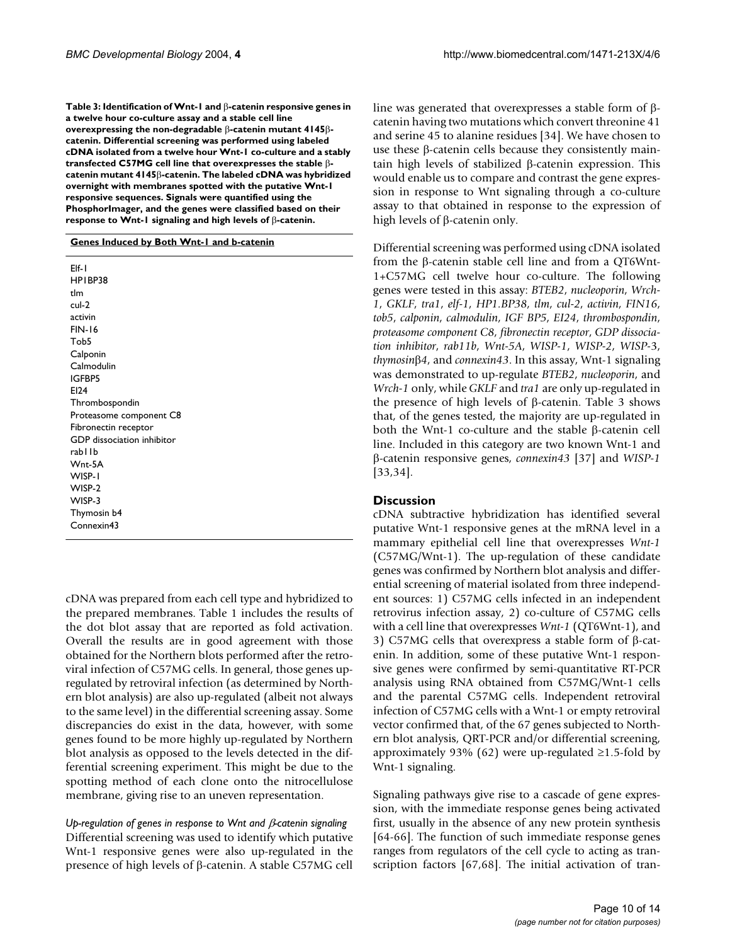**Table 3: Identification of Wnt-1 and** β**-catenin responsive genes in a twelve hour co-culture assay and a stable cell line overexpressing the non-degradable** β**-catenin mutant 4145**β**catenin. Differential screening was performed using labeled cDNA isolated from a twelve hour Wnt-1 co-culture and a stably transfected C57MG cell line that overexpresses the stable** β**catenin mutant 4145**β**-catenin. The labeled cDNA was hybridized overnight with membranes spotted with the putative Wnt-1 responsive sequences. Signals were quantified using the PhosphorImager, and the genes were classified based on their response to Wnt-1 signaling and high levels of** β**-catenin.**

#### **Genes Induced by Both Wnt-1 and b-catenin**

| Elf-1                      |
|----------------------------|
| HPIBP38                    |
| tlm                        |
| cul-2                      |
| activin                    |
| <b>FIN-16</b>              |
| Tob <sub>5</sub>           |
| Calponin                   |
| Calmodulin                 |
| IGFBP5                     |
| EI24                       |
| Thrombospondin             |
| Proteasome component C8    |
| Fibronectin receptor       |
| GDP dissociation inhibitor |
| rabllb                     |
| Wnt-5A                     |
| WISP-1                     |
| WISP-2                     |
| WISP-3                     |
| Thymosin b4                |
| Connexin43                 |
|                            |

cDNA was prepared from each cell type and hybridized to the prepared membranes. Table [1](#page-4-0) includes the results of the dot blot assay that are reported as fold activation. Overall the results are in good agreement with those obtained for the Northern blots performed after the retroviral infection of C57MG cells. In general, those genes upregulated by retroviral infection (as determined by Northern blot analysis) are also up-regulated (albeit not always to the same level) in the differential screening assay. Some discrepancies do exist in the data, however, with some genes found to be more highly up-regulated by Northern blot analysis as opposed to the levels detected in the differential screening experiment. This might be due to the spotting method of each clone onto the nitrocellulose membrane, giving rise to an uneven representation.

*Up-regulation of genes in response to Wnt and* β*-catenin signaling* Differential screening was used to identify which putative Wnt-1 responsive genes were also up-regulated in the presence of high levels of β-catenin. A stable C57MG cell

line was generated that overexpresses a stable form of βcatenin having two mutations which convert threonine 41 and serine 45 to alanine residues [34]. We have chosen to use these β-catenin cells because they consistently maintain high levels of stabilized β-catenin expression. This would enable us to compare and contrast the gene expression in response to Wnt signaling through a co-culture assay to that obtained in response to the expression of high levels of β-catenin only.

Differential screening was performed using cDNA isolated from the β-catenin stable cell line and from a QT6Wnt-1+C57MG cell twelve hour co-culture. The following genes were tested in this assay: *BTEB2*, *nucleoporin*, *Wrch-1*, *GKLF*, *tra1*, *elf-1*, *HP1.BP38*, *tlm*, *cul-2*, *activin*, *FIN16*, *tob5*, *calponin*, *calmodulin*, *IGF BP5*, *EI24*, *thrombospondin*, *proteasome component C8*, *fibronectin receptor*, *GDP dissociation inhibitor*, *rab11b*, *Wnt-5A*, *WISP-1*, *WISP-2*, *WISP-*3, *thymosin*β*4*, and *connexin43*. In this assay, Wnt-1 signaling was demonstrated to up-regulate *BTEB2*, *nucleoporin*, and *Wrch-1* only, while *GKLF* and *tra1* are only up-regulated in the presence of high levels of β-catenin. Table 3 shows that, of the genes tested, the majority are up-regulated in both the Wnt-1 co-culture and the stable β-catenin cell line. Included in this category are two known Wnt-1 and β-catenin responsive genes, *connexin43* [37] and *WISP-1* [33,34].

### **Discussion**

cDNA subtractive hybridization has identified several putative Wnt-1 responsive genes at the mRNA level in a mammary epithelial cell line that overexpresses *Wnt-1* (C57MG/Wnt-1). The up-regulation of these candidate genes was confirmed by Northern blot analysis and differential screening of material isolated from three independent sources: 1) C57MG cells infected in an independent retrovirus infection assay, 2) co-culture of C57MG cells with a cell line that overexpresses *Wnt-1* (QT6Wnt-1), and 3) C57MG cells that overexpress a stable form of β-catenin. In addition, some of these putative Wnt-1 responsive genes were confirmed by semi-quantitative RT-PCR analysis using RNA obtained from C57MG/Wnt-1 cells and the parental C57MG cells. Independent retroviral infection of C57MG cells with a Wnt-1 or empty retroviral vector confirmed that, of the 67 genes subjected to Northern blot analysis, QRT-PCR and/or differential screening, approximately 93% (62) were up-regulated  $\geq$ 1.5-fold by Wnt-1 signaling.

Signaling pathways give rise to a cascade of gene expression, with the immediate response genes being activated first, usually in the absence of any new protein synthesis [64-66]. The function of such immediate response genes ranges from regulators of the cell cycle to acting as transcription factors [67,68]. The initial activation of tran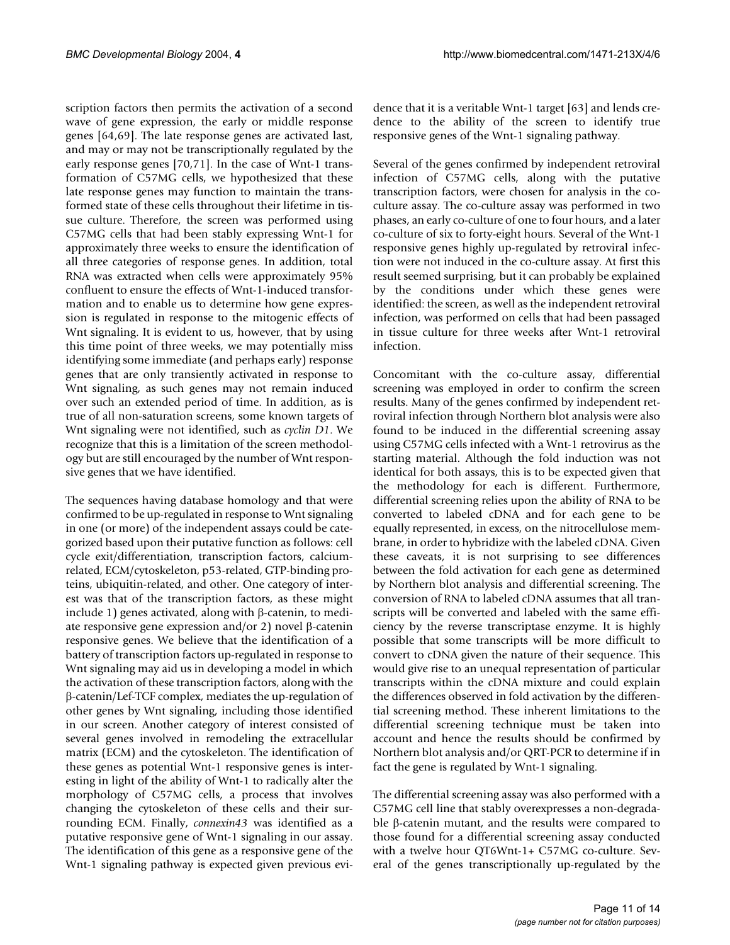scription factors then permits the activation of a second wave of gene expression, the early or middle response genes [64,69]. The late response genes are activated last, and may or may not be transcriptionally regulated by the early response genes [70,71]. In the case of Wnt-1 transformation of C57MG cells, we hypothesized that these late response genes may function to maintain the transformed state of these cells throughout their lifetime in tissue culture. Therefore, the screen was performed using C57MG cells that had been stably expressing Wnt-1 for approximately three weeks to ensure the identification of all three categories of response genes. In addition, total RNA was extracted when cells were approximately 95% confluent to ensure the effects of Wnt-1-induced transformation and to enable us to determine how gene expression is regulated in response to the mitogenic effects of Wnt signaling. It is evident to us, however, that by using this time point of three weeks, we may potentially miss identifying some immediate (and perhaps early) response genes that are only transiently activated in response to Wnt signaling, as such genes may not remain induced over such an extended period of time. In addition, as is true of all non-saturation screens, some known targets of Wnt signaling were not identified, such as *cyclin D1*. We recognize that this is a limitation of the screen methodology but are still encouraged by the number of Wnt responsive genes that we have identified.

The sequences having database homology and that were confirmed to be up-regulated in response to Wnt signaling in one (or more) of the independent assays could be categorized based upon their putative function as follows: cell cycle exit/differentiation, transcription factors, calciumrelated, ECM/cytoskeleton, p53-related, GTP-binding proteins, ubiquitin-related, and other. One category of interest was that of the transcription factors, as these might include 1) genes activated, along with β-catenin, to mediate responsive gene expression and/or 2) novel β-catenin responsive genes. We believe that the identification of a battery of transcription factors up-regulated in response to Wnt signaling may aid us in developing a model in which the activation of these transcription factors, along with the β-catenin/Lef-TCF complex, mediates the up-regulation of other genes by Wnt signaling, including those identified in our screen. Another category of interest consisted of several genes involved in remodeling the extracellular matrix (ECM) and the cytoskeleton. The identification of these genes as potential Wnt-1 responsive genes is interesting in light of the ability of Wnt-1 to radically alter the morphology of C57MG cells, a process that involves changing the cytoskeleton of these cells and their surrounding ECM. Finally, *connexin43* was identified as a putative responsive gene of Wnt-1 signaling in our assay. The identification of this gene as a responsive gene of the Wnt-1 signaling pathway is expected given previous evidence that it is a veritable Wnt-1 target [63] and lends credence to the ability of the screen to identify true responsive genes of the Wnt-1 signaling pathway.

Several of the genes confirmed by independent retroviral infection of C57MG cells, along with the putative transcription factors, were chosen for analysis in the coculture assay. The co-culture assay was performed in two phases, an early co-culture of one to four hours, and a later co-culture of six to forty-eight hours. Several of the Wnt-1 responsive genes highly up-regulated by retroviral infection were not induced in the co-culture assay. At first this result seemed surprising, but it can probably be explained by the conditions under which these genes were identified: the screen, as well as the independent retroviral infection, was performed on cells that had been passaged in tissue culture for three weeks after Wnt-1 retroviral infection.

Concomitant with the co-culture assay, differential screening was employed in order to confirm the screen results. Many of the genes confirmed by independent retroviral infection through Northern blot analysis were also found to be induced in the differential screening assay using C57MG cells infected with a Wnt-1 retrovirus as the starting material. Although the fold induction was not identical for both assays, this is to be expected given that the methodology for each is different. Furthermore, differential screening relies upon the ability of RNA to be converted to labeled cDNA and for each gene to be equally represented, in excess, on the nitrocellulose membrane, in order to hybridize with the labeled cDNA. Given these caveats, it is not surprising to see differences between the fold activation for each gene as determined by Northern blot analysis and differential screening. The conversion of RNA to labeled cDNA assumes that all transcripts will be converted and labeled with the same efficiency by the reverse transcriptase enzyme. It is highly possible that some transcripts will be more difficult to convert to cDNA given the nature of their sequence. This would give rise to an unequal representation of particular transcripts within the cDNA mixture and could explain the differences observed in fold activation by the differential screening method. These inherent limitations to the differential screening technique must be taken into account and hence the results should be confirmed by Northern blot analysis and/or QRT-PCR to determine if in fact the gene is regulated by Wnt-1 signaling.

The differential screening assay was also performed with a C57MG cell line that stably overexpresses a non-degradable β-catenin mutant, and the results were compared to those found for a differential screening assay conducted with a twelve hour QT6Wnt-1+ C57MG co-culture. Several of the genes transcriptionally up-regulated by the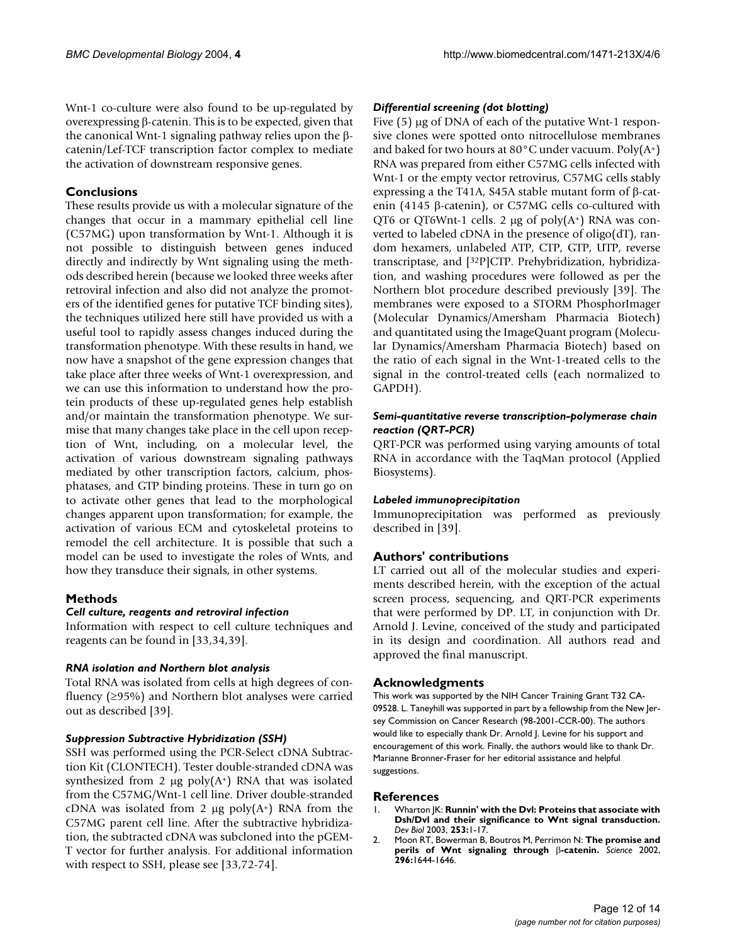Wnt-1 co-culture were also found to be up-regulated by overexpressing β-catenin. This is to be expected, given that the canonical Wnt-1 signaling pathway relies upon the βcatenin/Lef-TCF transcription factor complex to mediate the activation of downstream responsive genes.

# **Conclusions**

These results provide us with a molecular signature of the changes that occur in a mammary epithelial cell line (C57MG) upon transformation by Wnt-1. Although it is not possible to distinguish between genes induced directly and indirectly by Wnt signaling using the methods described herein (because we looked three weeks after retroviral infection and also did not analyze the promoters of the identified genes for putative TCF binding sites), the techniques utilized here still have provided us with a useful tool to rapidly assess changes induced during the transformation phenotype. With these results in hand, we now have a snapshot of the gene expression changes that take place after three weeks of Wnt-1 overexpression, and we can use this information to understand how the protein products of these up-regulated genes help establish and/or maintain the transformation phenotype. We surmise that many changes take place in the cell upon reception of Wnt, including, on a molecular level, the activation of various downstream signaling pathways mediated by other transcription factors, calcium, phosphatases, and GTP binding proteins. These in turn go on to activate other genes that lead to the morphological changes apparent upon transformation; for example, the activation of various ECM and cytoskeletal proteins to remodel the cell architecture. It is possible that such a model can be used to investigate the roles of Wnts, and how they transduce their signals, in other systems.

# **Methods**

### *Cell culture, reagents and retroviral infection*

Information with respect to cell culture techniques and reagents can be found in [33,34,39].

### *RNA isolation and Northern blot analysis*

Total RNA was isolated from cells at high degrees of confluency (≥95%) and Northern blot analyses were carried out as described [39].

### *Suppression Subtractive Hybridization (SSH)*

SSH was performed using the PCR-Select cDNA Subtraction Kit (CLONTECH). Tester double-stranded cDNA was synthesized from 2  $\mu$ g poly(A+) RNA that was isolated from the C57MG/Wnt-1 cell line. Driver double-stranded cDNA was isolated from 2  $\mu$ g poly $(A^+)$  RNA from the C57MG parent cell line. After the subtractive hybridization, the subtracted cDNA was subcloned into the pGEM-T vector for further analysis. For additional information with respect to SSH, please see [33,72-74].

### *Differential screening (dot blotting)*

Five (5)  $\mu$ g of DNA of each of the putative Wnt-1 responsive clones were spotted onto nitrocellulose membranes and baked for two hours at  $80^{\circ}$ C under vacuum. Poly $(A^+)$ RNA was prepared from either C57MG cells infected with Wnt-1 or the empty vector retrovirus, C57MG cells stably expressing a the T41A, S45A stable mutant form of β-catenin (4145 β-catenin), or C57MG cells co-cultured with QT6 or QT6Wnt-1 cells. 2  $\mu$ g of poly $(A^+)$  RNA was converted to labeled cDNA in the presence of oligo(dT), random hexamers, unlabeled ATP, CTP, GTP, UTP, reverse transcriptase, and [32P]CTP. Prehybridization, hybridization, and washing procedures were followed as per the Northern blot procedure described previously [39]. The membranes were exposed to a STORM PhosphorImager (Molecular Dynamics/Amersham Pharmacia Biotech) and quantitated using the ImageQuant program (Molecular Dynamics/Amersham Pharmacia Biotech) based on the ratio of each signal in the Wnt-1-treated cells to the signal in the control-treated cells (each normalized to GAPDH).

### *Semi-quantitative reverse transcription-polymerase chain reaction (QRT-PCR)*

QRT-PCR was performed using varying amounts of total RNA in accordance with the TaqMan protocol (Applied Biosystems).

### *Labeled immunoprecipitation*

Immunoprecipitation was performed as previously described in [39].

# **Authors' contributions**

LT carried out all of the molecular studies and experiments described herein, with the exception of the actual screen process, sequencing, and QRT-PCR experiments that were performed by DP. LT, in conjunction with Dr. Arnold J. Levine, conceived of the study and participated in its design and coordination. All authors read and approved the final manuscript.

### **Acknowledgments**

This work was supported by the NIH Cancer Training Grant T32 CA-09528. L. Taneyhill was supported in part by a fellowship from the New Jersey Commission on Cancer Research (98-2001-CCR-00). The authors would like to especially thank Dr. Arnold J. Levine for his support and encouragement of this work. Finally, the authors would like to thank Dr. Marianne Bronner-Fraser for her editorial assistance and helpful suggestions.

### **References**

- 1. Wharton JK: **[Runnin' with the Dvl: Proteins that associate with](http://www.ncbi.nlm.nih.gov/entrez/query.fcgi?cmd=Retrieve&db=PubMed&dopt=Abstract&list_uids=10.1006/dbio.2002.0869) [Dsh/Dvl and their significance to Wnt signal transduction](http://www.ncbi.nlm.nih.gov/entrez/query.fcgi?cmd=Retrieve&db=PubMed&dopt=Abstract&list_uids=10.1006/dbio.2002.0869)[.](http://www.ncbi.nlm.nih.gov/entrez/query.fcgi?cmd=Retrieve&db=PubMed&dopt=Abstract&list_uids=12490194)** *Dev Biol* 2003, **253:**1-17.
- 2. Moon RT, Bowerman B, Boutros M, Perrimon N: **The promise and perils of Wnt signaling through** β**[-catenin](http://www.ncbi.nlm.nih.gov/entrez/query.fcgi?cmd=Retrieve&db=PubMed&dopt=Abstract&list_uids=10.1126/science.1071549)[.](http://www.ncbi.nlm.nih.gov/entrez/query.fcgi?cmd=Retrieve&db=PubMed&dopt=Abstract&list_uids=12040179)** *Science* 2002, **296:**1644-1646.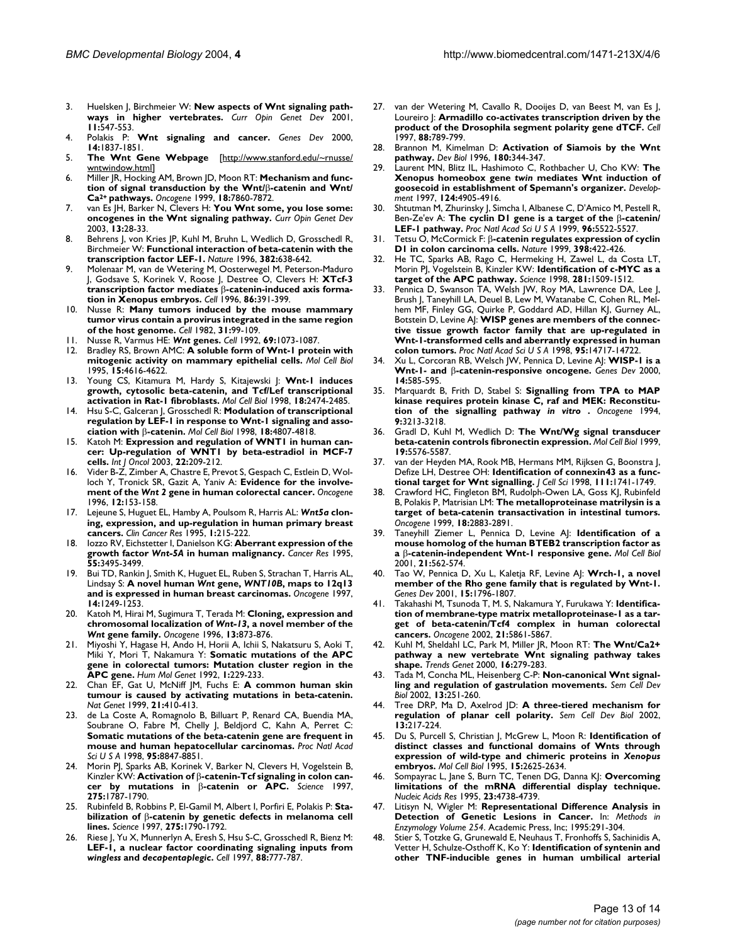- 3. Huelsken J, Birchmeier W: **[New aspects of Wnt signaling path](http://www.ncbi.nlm.nih.gov/entrez/query.fcgi?cmd=Retrieve&db=PubMed&dopt=Abstract&list_uids=10.1016/S0959-437X(00)00231-8)[ways in higher vertebrates](http://www.ncbi.nlm.nih.gov/entrez/query.fcgi?cmd=Retrieve&db=PubMed&dopt=Abstract&list_uids=10.1016/S0959-437X(00)00231-8)[.](http://www.ncbi.nlm.nih.gov/entrez/query.fcgi?cmd=Retrieve&db=PubMed&dopt=Abstract&list_uids=11532397)** *Curr Opin Genet Dev* 2001, **11:**547-553.
- [Wnt signaling and cancer.](http://www.ncbi.nlm.nih.gov/entrez/query.fcgi?cmd=Retrieve&db=PubMed&dopt=Abstract&list_uids=10921899) Genes Dev 2000, **14:**1837-1851.
- 5. **The Wnt Gene Webpage** [[http://www.stanford.edu/~rnusse/](http://www.stanford.edu/~rnusse/wntwindow.html) [wntwindow.html\]](http://www.stanford.edu/~rnusse/wntwindow.html)
- <span id="page-12-0"></span>6. Miller JR, Hocking AM, Brown JD, Moon RT: **Mechanism and function of signal transduction by the Wnt/**β**-catenin and Wnt/ Ca2+ [pathways](http://www.ncbi.nlm.nih.gov/entrez/query.fcgi?cmd=Retrieve&db=PubMed&dopt=Abstract&list_uids=10.1038/sj.onc.1203245)[.](http://www.ncbi.nlm.nih.gov/entrez/query.fcgi?cmd=Retrieve&db=PubMed&dopt=Abstract&list_uids=10630639)** *Oncogene* 1999, **18:**7860-7872.
- 7. van Es JH, Barker N, Clevers H: **[You Wnt some, you lose some:](http://www.ncbi.nlm.nih.gov/entrez/query.fcgi?cmd=Retrieve&db=PubMed&dopt=Abstract&list_uids=10.1016/S0959-437X(02)00012-6) [oncogenes in the Wnt signaling pathway](http://www.ncbi.nlm.nih.gov/entrez/query.fcgi?cmd=Retrieve&db=PubMed&dopt=Abstract&list_uids=10.1016/S0959-437X(02)00012-6)[.](http://www.ncbi.nlm.nih.gov/entrez/query.fcgi?cmd=Retrieve&db=PubMed&dopt=Abstract&list_uids=12573432)** *Curr Opin Genet Dev* 2003, **13:**28-33.
- 8. Behrens J, von Kries JP, Kuhl M, Bruhn L, Wedlich D, Grosschedl R, Birchmeier W: **[Functional interaction of beta-catenin with the](http://www.ncbi.nlm.nih.gov/entrez/query.fcgi?cmd=Retrieve&db=PubMed&dopt=Abstract&list_uids=10.1038/382638a0) [transcription factor LEF-1](http://www.ncbi.nlm.nih.gov/entrez/query.fcgi?cmd=Retrieve&db=PubMed&dopt=Abstract&list_uids=10.1038/382638a0)[.](http://www.ncbi.nlm.nih.gov/entrez/query.fcgi?cmd=Retrieve&db=PubMed&dopt=Abstract&list_uids=8757136)** *Nature* 1996, **382:**638-642.
- 9. Molenaar M, van de Wetering M, Oosterwegel M, Peterson-Maduro J, Godsave S, Korinek V, Roose J, Destree O, Clevers H: **XTcf-3 transcription factor mediates** β**[-catenin-induced axis forma](http://www.ncbi.nlm.nih.gov/entrez/query.fcgi?cmd=Retrieve&db=PubMed&dopt=Abstract&list_uids=8756721)[tion in Xenopus embryos.](http://www.ncbi.nlm.nih.gov/entrez/query.fcgi?cmd=Retrieve&db=PubMed&dopt=Abstract&list_uids=8756721)** *Cell* 1996, **86:**391-399.
- 10. Nusse R: **[Many tumors induced by the mouse mammary](http://www.ncbi.nlm.nih.gov/entrez/query.fcgi?cmd=Retrieve&db=PubMed&dopt=Abstract&list_uids=10.1016/0092-8674(82)90409-3) [tumor virus contain a provirus integrated in the same region](http://www.ncbi.nlm.nih.gov/entrez/query.fcgi?cmd=Retrieve&db=PubMed&dopt=Abstract&list_uids=10.1016/0092-8674(82)90409-3) [of the host genome](http://www.ncbi.nlm.nih.gov/entrez/query.fcgi?cmd=Retrieve&db=PubMed&dopt=Abstract&list_uids=10.1016/0092-8674(82)90409-3)[.](http://www.ncbi.nlm.nih.gov/entrez/query.fcgi?cmd=Retrieve&db=PubMed&dopt=Abstract&list_uids=6297757)** *Cell* 1982, **31:**99-109.
- <span id="page-12-1"></span>11. Nusse R, Varmus HE: *Wnt* **[genes](http://www.ncbi.nlm.nih.gov/entrez/query.fcgi?cmd=Retrieve&db=PubMed&dopt=Abstract&list_uids=10.1016/0092-8674(92)90630-U)[.](http://www.ncbi.nlm.nih.gov/entrez/query.fcgi?cmd=Retrieve&db=PubMed&dopt=Abstract&list_uids=1617723)** *Cell* 1992, **69:**1073-1087.
- 12. Bradley RS, Brown AMC: **[A soluble form of Wnt-1 protein with](http://www.ncbi.nlm.nih.gov/entrez/query.fcgi?cmd=Retrieve&db=PubMed&dopt=Abstract&list_uids=7623853) [mitogenic activity on mammary epithelial cells.](http://www.ncbi.nlm.nih.gov/entrez/query.fcgi?cmd=Retrieve&db=PubMed&dopt=Abstract&list_uids=7623853)** *Mol Cell Biol* 1995, **15:**4616-4622.
- 13. Young CS, Kitamura M, Hardy S, Kitajewski J: **[Wnt-1 induces](http://www.ncbi.nlm.nih.gov/entrez/query.fcgi?cmd=Retrieve&db=PubMed&dopt=Abstract&list_uids=9566868) [growth, cytosolic beta-catenin, and Tcf/Lef transcriptional](http://www.ncbi.nlm.nih.gov/entrez/query.fcgi?cmd=Retrieve&db=PubMed&dopt=Abstract&list_uids=9566868) [activation in Rat-1 fibroblasts.](http://www.ncbi.nlm.nih.gov/entrez/query.fcgi?cmd=Retrieve&db=PubMed&dopt=Abstract&list_uids=9566868)** *Mol Cell Biol* 1998, **18:**2474-2485.
- 14. Hsu S-C, Galceran J, Grosschedl R: **Modulation of transcriptional regulation by LEF-1 in response to Wnt-1 signaling and association with** β**[-catenin.](http://www.ncbi.nlm.nih.gov/entrez/query.fcgi?cmd=Retrieve&db=PubMed&dopt=Abstract&list_uids=9671490)** *Mol Cell Biol* 1998, **18:**4807-4818.
- 15. Katoh M: **[Expression and regulation of WNT1 in human can](http://www.ncbi.nlm.nih.gov/entrez/query.fcgi?cmd=Retrieve&db=PubMed&dopt=Abstract&list_uids=12469206)[cer: Up-regulation of WNT1 by beta-estradiol in MCF-7](http://www.ncbi.nlm.nih.gov/entrez/query.fcgi?cmd=Retrieve&db=PubMed&dopt=Abstract&list_uids=12469206) [cells.](http://www.ncbi.nlm.nih.gov/entrez/query.fcgi?cmd=Retrieve&db=PubMed&dopt=Abstract&list_uids=12469206)** *Int J Oncol* 2003, **22:**209-212.
- <span id="page-12-2"></span>Vider B-Z, Zimber A, Chastre E, Prevot S, Gespach C, Estlein D, Wolloch Y, Tronick SR, Gazit A, Yaniv A: **Evidence for the involvement of the** *Wnt 2* **[gene in human colorectal cancer.](http://www.ncbi.nlm.nih.gov/entrez/query.fcgi?cmd=Retrieve&db=PubMed&dopt=Abstract&list_uids=8552386)** *Oncogene* 1996, **12:**153-158.
- <span id="page-12-3"></span>17. Lejeune S, Huguet EL, Hamby A, Poulsom R, Harris AL: *Wnt5a* **[clon](http://www.ncbi.nlm.nih.gov/entrez/query.fcgi?cmd=Retrieve&db=PubMed&dopt=Abstract&list_uids=9815976)[ing, expression, and up-regulation in human primary breast](http://www.ncbi.nlm.nih.gov/entrez/query.fcgi?cmd=Retrieve&db=PubMed&dopt=Abstract&list_uids=9815976) [cancers.](http://www.ncbi.nlm.nih.gov/entrez/query.fcgi?cmd=Retrieve&db=PubMed&dopt=Abstract&list_uids=9815976)** *Clin Cancer Res* 1995, **1:**215-222.
- <span id="page-12-4"></span>18. Iozzo RV, Eichstetter I, Danielson KG: **Aberrant expression of the growth factor** *Wnt-5A* **[in human malignancy.](http://www.ncbi.nlm.nih.gov/entrez/query.fcgi?cmd=Retrieve&db=PubMed&dopt=Abstract&list_uids=7627953)** *Cancer Res* 1995, **55:**3495-3499.
- <span id="page-12-5"></span>19. Bui TD, Rankin J, Smith K, Huguet EL, Ruben S, Strachan T, Harris AL, Lindsay S: **A novel human** *Wnt* **gene,** *WNT10B***[, maps to 12q13](http://www.ncbi.nlm.nih.gov/entrez/query.fcgi?cmd=Retrieve&db=PubMed&dopt=Abstract&list_uids=10.1038/sj.onc.1200936) [and is expressed in human breast carcinomas](http://www.ncbi.nlm.nih.gov/entrez/query.fcgi?cmd=Retrieve&db=PubMed&dopt=Abstract&list_uids=10.1038/sj.onc.1200936)[.](http://www.ncbi.nlm.nih.gov/entrez/query.fcgi?cmd=Retrieve&db=PubMed&dopt=Abstract&list_uids=9121776)** *Oncogene* 1997, **14:**1249-1253.
- <span id="page-12-6"></span>20. Katoh M, Hirai M, Sugimura T, Terada M: **Cloning, expression and chromosomal localization of** *Wnt-13***, a novel member of the** *Wnt* **[gene family.](http://www.ncbi.nlm.nih.gov/entrez/query.fcgi?cmd=Retrieve&db=PubMed&dopt=Abstract&list_uids=8761309)** *Oncogene* 1996, **13:**873-876.
- 21. Miyoshi Y, Hagase H, Ando H, Horii A, Ichii S, Nakatsuru S, Aoki T, Miki Y, Mori T, Nakamura Y: **[Somatic mutations of the APC](http://www.ncbi.nlm.nih.gov/entrez/query.fcgi?cmd=Retrieve&db=PubMed&dopt=Abstract&list_uids=1338904) [gene in colorectal tumors: Mutation cluster region in the](http://www.ncbi.nlm.nih.gov/entrez/query.fcgi?cmd=Retrieve&db=PubMed&dopt=Abstract&list_uids=1338904) [APC gene.](http://www.ncbi.nlm.nih.gov/entrez/query.fcgi?cmd=Retrieve&db=PubMed&dopt=Abstract&list_uids=1338904)** *Hum Mol Genet* 1992, **1:**229-233.
- 22. Chan EF, Gat U, McNiff JM, Fuchs E: **[A common human skin](http://www.ncbi.nlm.nih.gov/entrez/query.fcgi?cmd=Retrieve&db=PubMed&dopt=Abstract&list_uids=10.1038/7747) [tumour is caused by activating mutations in beta-catenin](http://www.ncbi.nlm.nih.gov/entrez/query.fcgi?cmd=Retrieve&db=PubMed&dopt=Abstract&list_uids=10.1038/7747)[.](http://www.ncbi.nlm.nih.gov/entrez/query.fcgi?cmd=Retrieve&db=PubMed&dopt=Abstract&list_uids=10192393)** *Nat Genet* 1999, **21:**410-413.
- 23. de La Coste A, Romagnolo B, Billuart P, Renard CA, Buendia MA, Soubrane O, Fabre M, Chelly J, Beldjord C, Kahn A, Perret C: **[Somatic mutations of the beta-catenin gene are frequent in](http://www.ncbi.nlm.nih.gov/entrez/query.fcgi?cmd=Retrieve&db=PubMed&dopt=Abstract&list_uids=10.1073/pnas.95.15.8847) [mouse and human hepatocellular carcinomas](http://www.ncbi.nlm.nih.gov/entrez/query.fcgi?cmd=Retrieve&db=PubMed&dopt=Abstract&list_uids=10.1073/pnas.95.15.8847)[.](http://www.ncbi.nlm.nih.gov/entrez/query.fcgi?cmd=Retrieve&db=PubMed&dopt=Abstract&list_uids=9671767)** *Proc Natl Acad Sci U S A* 1998, **95:**8847-8851.
- 24. Morin PJ, Sparks AB, Korinek V, Barker N, Clevers H, Vogelstein B, Kinzler KW: **Activation of** β**-catenin-Tcf signaling in colon cancer by mutations in** β**[-catenin or APC](http://www.ncbi.nlm.nih.gov/entrez/query.fcgi?cmd=Retrieve&db=PubMed&dopt=Abstract&list_uids=10.1126/science.275.5307.1787)[.](http://www.ncbi.nlm.nih.gov/entrez/query.fcgi?cmd=Retrieve&db=PubMed&dopt=Abstract&list_uids=9065402)** *Science* 1997, **275:**1787-1790.
- 25. Rubinfeld B, Robbins P, El-Gamil M, Albert I, Porfiri E, Polakis P: **Stabilization of** β**[-catenin by genetic defects in melanoma cell](http://www.ncbi.nlm.nih.gov/entrez/query.fcgi?cmd=Retrieve&db=PubMed&dopt=Abstract&list_uids=10.1126/science.275.5307.1790) [lines](http://www.ncbi.nlm.nih.gov/entrez/query.fcgi?cmd=Retrieve&db=PubMed&dopt=Abstract&list_uids=10.1126/science.275.5307.1790)[.](http://www.ncbi.nlm.nih.gov/entrez/query.fcgi?cmd=Retrieve&db=PubMed&dopt=Abstract&list_uids=9065403)** *Science* 1997, **275:**1790-1792.
- 26. Riese J, Yu X, Munnerlyn A, Eresh S, Hsu S-C, Grosschedl R, Bienz M: **LEF-1, a nuclear factor coordinating signaling inputs from** *wingless* **and** *decapentaplegic***[.](http://www.ncbi.nlm.nih.gov/entrez/query.fcgi?cmd=Retrieve&db=PubMed&dopt=Abstract&list_uids=9118221)** *Cell* 1997, **88:**777-787.
- 27. van der Wetering M, Cavallo R, Dooijes D, van Beest M, van Es J, Loureiro J: **[Armadillo co-activates transcription driven by the](http://www.ncbi.nlm.nih.gov/entrez/query.fcgi?cmd=Retrieve&db=PubMed&dopt=Abstract&list_uids=10.1016/S0092-8674(00)81925-X) [product of the Drosophila segment polarity gene dTCF](http://www.ncbi.nlm.nih.gov/entrez/query.fcgi?cmd=Retrieve&db=PubMed&dopt=Abstract&list_uids=10.1016/S0092-8674(00)81925-X)[.](http://www.ncbi.nlm.nih.gov/entrez/query.fcgi?cmd=Retrieve&db=PubMed&dopt=Abstract&list_uids=9118222)** *Cell* 1997, **88:**789-799.
- 28. Brannon M, Kimelman D: **[Activation of Siamois by the Wnt](http://www.ncbi.nlm.nih.gov/entrez/query.fcgi?cmd=Retrieve&db=PubMed&dopt=Abstract&list_uids=10.1006/dbio.1996.0306) [pathway](http://www.ncbi.nlm.nih.gov/entrez/query.fcgi?cmd=Retrieve&db=PubMed&dopt=Abstract&list_uids=10.1006/dbio.1996.0306)[.](http://www.ncbi.nlm.nih.gov/entrez/query.fcgi?cmd=Retrieve&db=PubMed&dopt=Abstract&list_uids=8948596)** *Dev Biol* 1996, **180:**344-347.
- <span id="page-12-7"></span>29. Laurent MN, Blitz IL, Hashimoto C, Rothbacher U, Cho KW: **The Xenopus homeobox gene** *twin* **[mediates Wnt induction of](http://www.ncbi.nlm.nih.gov/entrez/query.fcgi?cmd=Retrieve&db=PubMed&dopt=Abstract&list_uids=9428427) [goosecoid in establishment of Spemann's organizer.](http://www.ncbi.nlm.nih.gov/entrez/query.fcgi?cmd=Retrieve&db=PubMed&dopt=Abstract&list_uids=9428427)** *Development* 1997, **124:**4905-4916.
- 30. Shtutman M, Zhurinsky J, Simcha I, Albanese C, D'Amico M, Pestell R, Ben-Ze'ev A: **The cyclin D1 gene is a target of the** β**[-catenin/](http://www.ncbi.nlm.nih.gov/entrez/query.fcgi?cmd=Retrieve&db=PubMed&dopt=Abstract&list_uids=10.1073/pnas.96.10.5522) [LEF-1 pathway](http://www.ncbi.nlm.nih.gov/entrez/query.fcgi?cmd=Retrieve&db=PubMed&dopt=Abstract&list_uids=10.1073/pnas.96.10.5522)[.](http://www.ncbi.nlm.nih.gov/entrez/query.fcgi?cmd=Retrieve&db=PubMed&dopt=Abstract&list_uids=10318916)** *Proc Natl Acad Sci U S A* 1999, **96:**5522-5527.
- 31. Tetsu O, McCormick F: β**[-catenin regulates expression of cyclin](http://www.ncbi.nlm.nih.gov/entrez/query.fcgi?cmd=Retrieve&db=PubMed&dopt=Abstract&list_uids=10.1038/18884) [D1 in colon carcinoma cells](http://www.ncbi.nlm.nih.gov/entrez/query.fcgi?cmd=Retrieve&db=PubMed&dopt=Abstract&list_uids=10.1038/18884)[.](http://www.ncbi.nlm.nih.gov/entrez/query.fcgi?cmd=Retrieve&db=PubMed&dopt=Abstract&list_uids=10201372)** *Nature* 1999, **398:**422-426.
- 32. He TC, Sparks AB, Rago C, Hermeking H, Zawel L, da Costa LT, Morin PJ, Vogelstein B, Kinzler KW: **[Identification of c-MYC as a](http://www.ncbi.nlm.nih.gov/entrez/query.fcgi?cmd=Retrieve&db=PubMed&dopt=Abstract&list_uids=10.1126/science.281.5382.1509) [target of the APC pathway](http://www.ncbi.nlm.nih.gov/entrez/query.fcgi?cmd=Retrieve&db=PubMed&dopt=Abstract&list_uids=10.1126/science.281.5382.1509)[.](http://www.ncbi.nlm.nih.gov/entrez/query.fcgi?cmd=Retrieve&db=PubMed&dopt=Abstract&list_uids=9727977)** *Science* 1998, **281:**1509-1512.
- 33. Pennica D, Swanson TA, Welsh JW, Roy MA, Lawrence DA, Lee J, Brush J, Taneyhill LA, Deuel B, Lew M, Watanabe C, Cohen RL, Melhem MF, Finley GG, Quirke P, Goddard AD, Hillan KJ, Gurney AL, Botstein D, Levine AJ: **[WISP genes are members of the connec](http://www.ncbi.nlm.nih.gov/entrez/query.fcgi?cmd=Retrieve&db=PubMed&dopt=Abstract&list_uids=10.1073/pnas.95.25.14717)[tive tissue growth factor family that are up-regulated in](http://www.ncbi.nlm.nih.gov/entrez/query.fcgi?cmd=Retrieve&db=PubMed&dopt=Abstract&list_uids=10.1073/pnas.95.25.14717) Wnt-1-transformed cells and aberrantly expressed in human [colon tumors](http://www.ncbi.nlm.nih.gov/entrez/query.fcgi?cmd=Retrieve&db=PubMed&dopt=Abstract&list_uids=10.1073/pnas.95.25.14717)[.](http://www.ncbi.nlm.nih.gov/entrez/query.fcgi?cmd=Retrieve&db=PubMed&dopt=Abstract&list_uids=9843955)** *Proc Natl Acad Sci U S A* 1998, **95:**14717-14722.
- 34. Xu L, Corcoran RB, Welsch JW, Pennica D, Levine AJ: **WISP-1 is a Wnt-1- and** β**[-catenin-responsive oncogene.](http://www.ncbi.nlm.nih.gov/entrez/query.fcgi?cmd=Retrieve&db=PubMed&dopt=Abstract&list_uids=10716946)** *Genes Dev* 2000, **14:**585-595.
- 35. Marquardt B, Frith D, Stabel S: **Signalling from TPA to MAP kinase requires protein kinase C, raf and MEK: Reconstitution of the signalling pathway** *in vitro* **[.](http://www.ncbi.nlm.nih.gov/entrez/query.fcgi?cmd=Retrieve&db=PubMed&dopt=Abstract&list_uids=7936644)** *Oncogene* 1994, **9:**3213-3218.
- 36. Gradl D, Kuhl M, Wedlich D: **[The Wnt/Wg signal transducer](http://www.ncbi.nlm.nih.gov/entrez/query.fcgi?cmd=Retrieve&db=PubMed&dopt=Abstract&list_uids=10409747) [beta-catenin controls fibronectin expression.](http://www.ncbi.nlm.nih.gov/entrez/query.fcgi?cmd=Retrieve&db=PubMed&dopt=Abstract&list_uids=10409747)** *Mol Cell Biol* 1999, **19:**5576-5587.
- van der Heyden MA, Rook MB, Hermans MM, Rijksen G, Boonstra J, Defize LH, Destree OH: **[Identification of connexin43 as a func](http://www.ncbi.nlm.nih.gov/entrez/query.fcgi?cmd=Retrieve&db=PubMed&dopt=Abstract&list_uids=9601103)[tional target for Wnt signalling.](http://www.ncbi.nlm.nih.gov/entrez/query.fcgi?cmd=Retrieve&db=PubMed&dopt=Abstract&list_uids=9601103)** *J Cell Sci* 1998, **111:**1741-1749.
- 38. Crawford HC, Fingleton BM, Rudolph-Owen LA, Goss KJ, Rubinfeld B, Polakis P, Matrisian LM: **[The metalloproteinase matrilysin is a](http://www.ncbi.nlm.nih.gov/entrez/query.fcgi?cmd=Retrieve&db=PubMed&dopt=Abstract&list_uids=10.1038/sj.onc.1202627) [target of beta-catenin transactivation in intestinal tumors](http://www.ncbi.nlm.nih.gov/entrez/query.fcgi?cmd=Retrieve&db=PubMed&dopt=Abstract&list_uids=10.1038/sj.onc.1202627)[.](http://www.ncbi.nlm.nih.gov/entrez/query.fcgi?cmd=Retrieve&db=PubMed&dopt=Abstract&list_uids=10362259)** *Oncogene* 1999, **18:**2883-2891.
- 39. Taneyhill Ziemer L, Pennica D, Levine AJ: **Identification of a mouse homolog of the human BTEB2 transcription factor as a** β**[-catenin-independent Wnt-1 responsive gene](http://www.ncbi.nlm.nih.gov/entrez/query.fcgi?cmd=Retrieve&db=PubMed&dopt=Abstract&list_uids=10.1128/MCB.21.2.562-574.2001)[.](http://www.ncbi.nlm.nih.gov/entrez/query.fcgi?cmd=Retrieve&db=PubMed&dopt=Abstract&list_uids=11134343)** *Mol Cell Biol* 2001, **21:**562-574.
- 40. Tao W, Pennica D, Xu L, Kaletja RF, Levine AJ: **[Wrch-1, a novel](http://www.ncbi.nlm.nih.gov/entrez/query.fcgi?cmd=Retrieve&db=PubMed&dopt=Abstract&list_uids=10.1101/gad.894301) [member of the Rho gene family that is regulated by Wnt-1](http://www.ncbi.nlm.nih.gov/entrez/query.fcgi?cmd=Retrieve&db=PubMed&dopt=Abstract&list_uids=10.1101/gad.894301)[.](http://www.ncbi.nlm.nih.gov/entrez/query.fcgi?cmd=Retrieve&db=PubMed&dopt=Abstract&list_uids=11459829)** *Genes Dev* 2001, **15:**1796-1807.
- 41. Takahashi M, Tsunoda T, M. S, Nakamura Y, Furukawa Y: **[Identifica](http://www.ncbi.nlm.nih.gov/entrez/query.fcgi?cmd=Retrieve&db=PubMed&dopt=Abstract&list_uids=10.1038/sj.onc.1205755)[tion of membrane-type matrix metalloproteinase-1 as a tar](http://www.ncbi.nlm.nih.gov/entrez/query.fcgi?cmd=Retrieve&db=PubMed&dopt=Abstract&list_uids=10.1038/sj.onc.1205755)get of beta-catenin/Tcf4 complex in human colorectal [cancers](http://www.ncbi.nlm.nih.gov/entrez/query.fcgi?cmd=Retrieve&db=PubMed&dopt=Abstract&list_uids=10.1038/sj.onc.1205755)[.](http://www.ncbi.nlm.nih.gov/entrez/query.fcgi?cmd=Retrieve&db=PubMed&dopt=Abstract&list_uids=12185585)** *Oncogene* 2002, **21:**5861-5867.
- 42. Kuhl M, Sheldahl LC, Park M, Miller JR, Moon RT: **[The Wnt/Ca2+](http://www.ncbi.nlm.nih.gov/entrez/query.fcgi?cmd=Retrieve&db=PubMed&dopt=Abstract&list_uids=10.1016/S0168-9525(00)02028-X) [pathway a new vertebrate Wnt signaling pathway takes](http://www.ncbi.nlm.nih.gov/entrez/query.fcgi?cmd=Retrieve&db=PubMed&dopt=Abstract&list_uids=10.1016/S0168-9525(00)02028-X) [shape](http://www.ncbi.nlm.nih.gov/entrez/query.fcgi?cmd=Retrieve&db=PubMed&dopt=Abstract&list_uids=10.1016/S0168-9525(00)02028-X)[.](http://www.ncbi.nlm.nih.gov/entrez/query.fcgi?cmd=Retrieve&db=PubMed&dopt=Abstract&list_uids=10858654)** *Trends Genet* 2000, **16:**279-283.
- 43. Tada M, Concha ML, Heisenberg C-P: **[Non-canonical Wnt signal](http://www.ncbi.nlm.nih.gov/entrez/query.fcgi?cmd=Retrieve&db=PubMed&dopt=Abstract&list_uids=10.1016/S1084-9521(02)00052-6)[ling and regulation of gastrulation movements.](http://www.ncbi.nlm.nih.gov/entrez/query.fcgi?cmd=Retrieve&db=PubMed&dopt=Abstract&list_uids=10.1016/S1084-9521(02)00052-6)** *Sem Cell Dev Biol* 2002, **13:**251-260.
- 44. Tree DRP, Ma D, Axelrod JD: **[A three-tiered mechanism for](http://www.ncbi.nlm.nih.gov/entrez/query.fcgi?cmd=Retrieve&db=PubMed&dopt=Abstract&list_uids=10.1016/S1084-9521(02)00042-3) [regulation of planar cell polarity.](http://www.ncbi.nlm.nih.gov/entrez/query.fcgi?cmd=Retrieve&db=PubMed&dopt=Abstract&list_uids=10.1016/S1084-9521(02)00042-3)** *Sem Cell Dev Biol* 2002, **13:**217-224.
- <span id="page-12-8"></span>45. Du S, Purcell S, Christian J, McGrew L, Moon R: **Identification of distinct classes and functional domains of Wnts through expression of wild-type and chimeric proteins in** *Xenopus* **[embryos.](http://www.ncbi.nlm.nih.gov/entrez/query.fcgi?cmd=Retrieve&db=PubMed&dopt=Abstract&list_uids=7739543)** *Mol Cell Biol* 1995, **15:**2625-2634.
- 46. Sompayrac L, Jane S, Burn TC, Tenen DG, Danna KJ: **[Overcoming](http://www.ncbi.nlm.nih.gov/entrez/query.fcgi?cmd=Retrieve&db=PubMed&dopt=Abstract&list_uids=8524670) [limitations of the mRNA differential display technique.](http://www.ncbi.nlm.nih.gov/entrez/query.fcgi?cmd=Retrieve&db=PubMed&dopt=Abstract&list_uids=8524670)** *Nucleic Acids Res* 1995, **23:**4738-4739.
- 47. Litisyn N, Wigler M: **Representational Difference Analysis in Detection of Genetic Lesions in Cancer.** In: *Methods in Enzymology Volume 254*. Academic Press, Inc; 1995:291-304.
- Stier S, Totzke G, Grunewald E, Neuhaus T, Fronhoffs S, Sachinidis A, Vetter H, Schulze-Osthoff K, Ko Y: **[Identification of syntenin and](http://www.ncbi.nlm.nih.gov/entrez/query.fcgi?cmd=Retrieve&db=PubMed&dopt=Abstract&list_uids=10.1016/S0014-5793(00)01177-7) [other TNF-inducible genes in human umbilical arterial](http://www.ncbi.nlm.nih.gov/entrez/query.fcgi?cmd=Retrieve&db=PubMed&dopt=Abstract&list_uids=10.1016/S0014-5793(00)01177-7)**